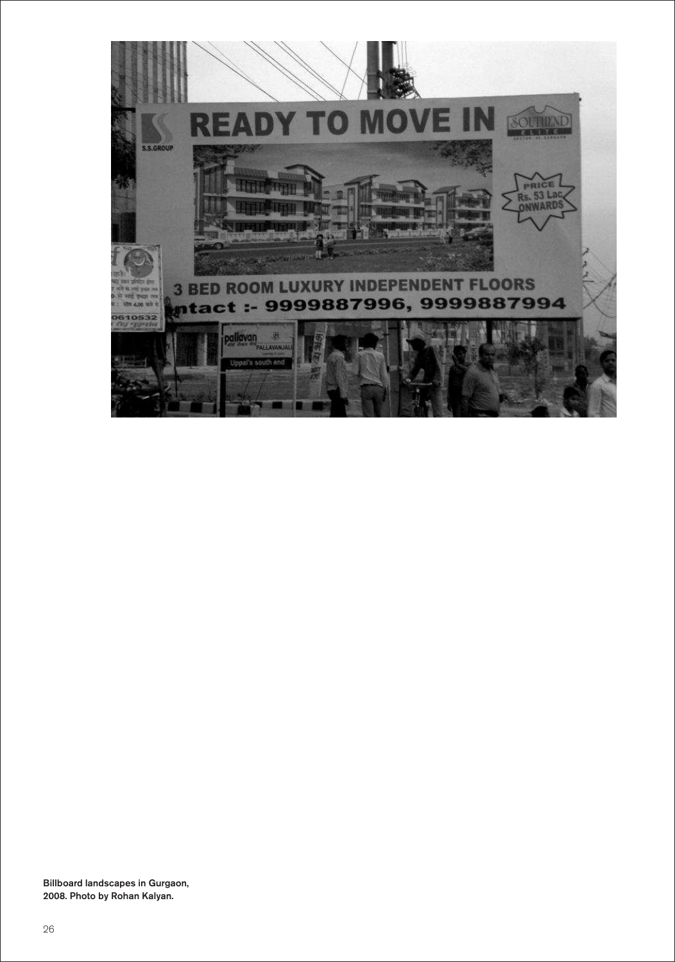

Billboard landscapes in Gurgaon, 2008. Photo by Rohan Kalyan.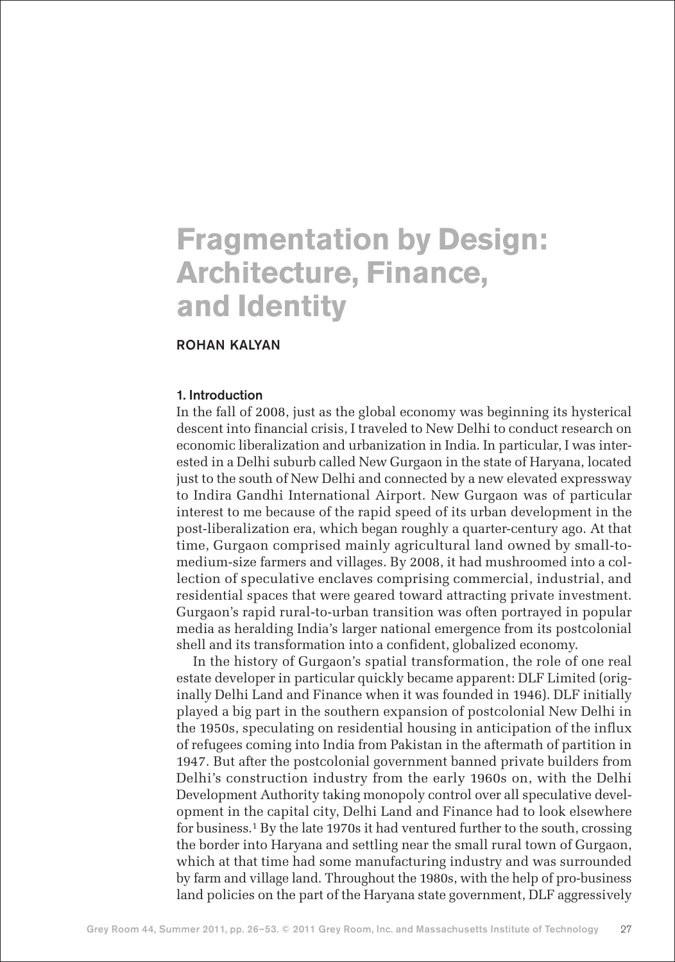# **Fragmentation by Design: Architecture, Finance, and Identity**

# ROHAN KALYAN

#### 1. Introduction

In the fall of 2008, just as the global economy was beginning its hysterical descent into financial crisis, I traveled to New Delhi to conduct research on economic liberalization and urbanization in India. In particular, I was interested in a Delhi suburb called New Gurgaon in the state of Haryana, located just to the south of New Delhi and connected by a new elevated expressway to Indira Gandhi International Airport. New Gurgaon was of particular interest to me because of the rapid speed of its urban development in the post-liberalization era, which began roughly a quarter-century ago. At that time, Gurgaon comprised mainly agricultural land owned by small-tomedium-size farmers and villages. By 2008, it had mushroomed into a collection of speculative enclaves comprising commercial, industrial, and residential spaces that were geared toward attracting private investment. Gurgaon's rapid rural-to-urban transition was often portrayed in popular media as heralding India's larger national emergence from its postcolonial shell and its transformation into a confident, globalized economy.

In the history of Gurgaon's spatial transformation, the role of one real estate developer in particular quickly became apparent: DLF Limited (originally Delhi Land and Finance when it was founded in 1946). DLF initially played a big part in the southern expansion of postcolonial New Delhi in the 1950s, speculating on residential housing in anticipation of the influx of refugees coming into India from Pakistan in the aftermath of partition in 1947. But after the postcolonial government banned private builders from Delhi's construction industry from the early 1960s on, with the Delhi Development Authority taking monopoly control over all speculative development in the capital city, Delhi Land and Finance had to look elsewhere for business.<sup>1</sup> By the late 1970s it had ventured further to the south, crossing the border into Haryana and settling near the small rural town of Gurgaon, which at that time had some manufacturing industry and was surrounded by farm and village land. Throughout the 1980s, with the help of pro-business land policies on the part of the Haryana state government, DLF aggressively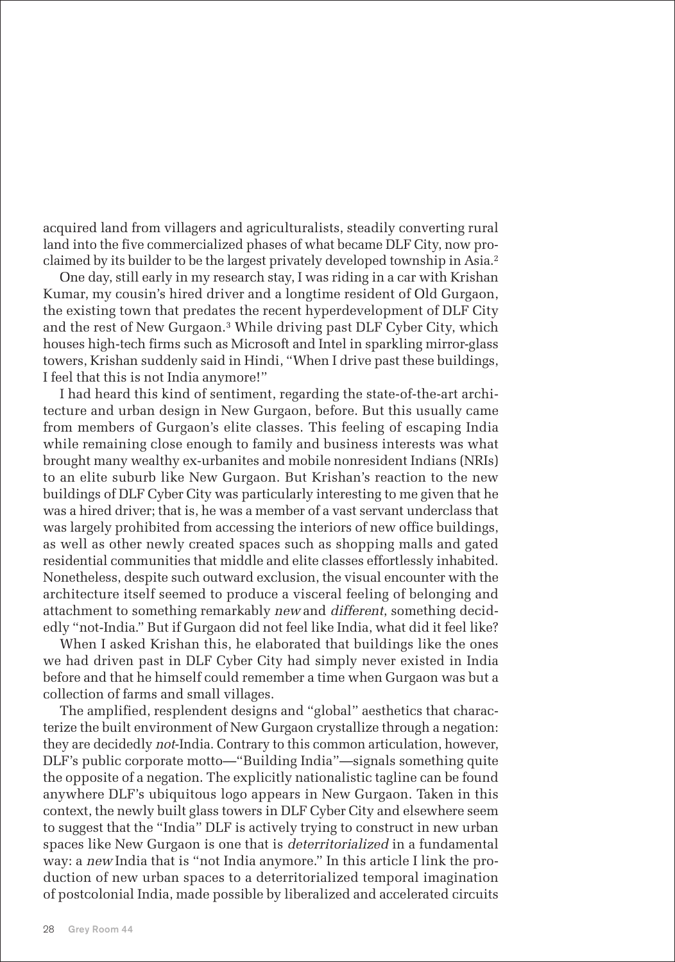acquired land from villagers and agriculturalists, steadily converting rural land into the five commercialized phases of what became DLF City, now proclaimed by its builder to be the largest privately developed township in Asia.<sup>2</sup>

One day, still early in my research stay, I was riding in a car with Krishan Kumar, my cousin's hired driver and a longtime resident of Old Gurgaon, the existing town that predates the recent hyperdevelopment of DLF City and the rest of New Gurgaon.<sup>3</sup> While driving past DLF Cyber City, which houses high-tech firms such as Microsoft and Intel in sparkling mirror-glass towers, Krishan suddenly said in Hindi, "When I drive past these buildings, I feel that this is not India anymore!"

I had heard this kind of sentiment, regarding the state-of-the-art architecture and urban design in New Gurgaon, before. But this usually came from members of Gurgaon's elite classes. This feeling of escaping India while remaining close enough to family and business interests was what brought many wealthy ex-urbanites and mobile nonresident Indians (NRIs) to an elite suburb like New Gurgaon. But Krishan's reaction to the new buildings of DLF Cyber City was particularly interesting to me given that he was a hired driver; that is, he was a member of a vast servant underclass that was largely prohibited from accessing the interiors of new office buildings, as well as other newly created spaces such as shopping malls and gated residential communities that middle and elite classes effortlessly inhabited. Nonetheless, despite such outward exclusion, the visual encounter with the architecture itself seemed to produce a visceral feeling of belonging and attachment to something remarkably new and different, something decidedly "not-India." But if Gurgaon did not feel like India, what did it feel like?

When I asked Krishan this, he elaborated that buildings like the ones we had driven past in DLF Cyber City had simply never existed in India before and that he himself could remember a time when Gurgaon was but a collection of farms and small villages.

The amplified, resplendent designs and "global" aesthetics that characterize the built environment of New Gurgaon crystallize through a negation: they are decidedly not-India. Contrary to this common articulation, however, DLF's public corporate motto—"Building India"—signals something quite the opposite of a negation. The explicitly nationalistic tagline can be found anywhere DLF's ubiquitous logo appears in New Gurgaon. Taken in this context, the newly built glass towers in DLF Cyber City and elsewhere seem to suggest that the "India" DLF is actively trying to construct in new urban spaces like New Gurgaon is one that is deterritorialized in a fundamental way: a new India that is "not India anymore." In this article I link the production of new urban spaces to a deterritorialized temporal imagination of postcolonial India, made possible by liberalized and accelerated circuits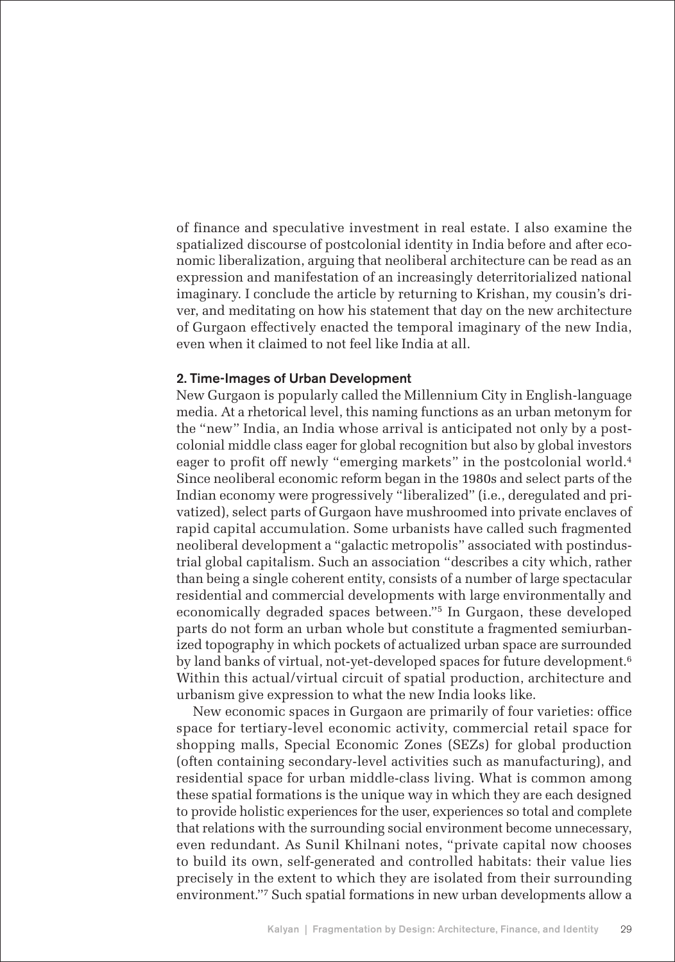of finance and speculative investment in real estate. I also examine the spatialized discourse of postcolonial identity in India before and after economic liberalization, arguing that neoliberal architecture can be read as an expression and manifestation of an increasingly deterritorialized national imaginary. I conclude the article by returning to Krishan, my cousin's driver, and meditating on how his statement that day on the new architecture of Gurgaon effectively enacted the temporal imaginary of the new India, even when it claimed to not feel like India at all.

#### 2. Time-Images of Urban Development

New Gurgaon is popularly called the Millennium City in English-language media. At a rhetorical level, this naming functions as an urban metonym for the "new" India, an India whose arrival is anticipated not only by a postcolonial middle class eager for global recognition but also by global investors eager to profit off newly "emerging markets" in the postcolonial world.<sup>4</sup> Since neoliberal economic reform began in the 1980s and select parts of the Indian economy were progressively "liberalized" (i.e., deregulated and privatized), select parts of Gurgaon have mushroomed into private enclaves of rapid capital accumulation. Some urbanists have called such fragmented neoliberal development a "galactic metropolis" associated with postindustrial global capitalism. Such an association "describes a city which, rather than being a single coherent entity, consists of a number of large spectacular residential and commercial developments with large environmentally and economically degraded spaces between."<sup>5</sup> In Gurgaon, these developed parts do not form an urban whole but constitute a fragmented semiurbanized topography in which pockets of actualized urban space are surrounded by land banks of virtual, not-yet-developed spaces for future development.<sup>6</sup> Within this actual/virtual circuit of spatial production, architecture and urbanism give expression to what the new India looks like.

New economic spaces in Gurgaon are primarily of four varieties: office space for tertiary-level economic activity, commercial retail space for shopping malls, Special Economic Zones (SEZs) for global production (often containing secondary-level activities such as manufacturing), and residential space for urban middle-class living. What is common among these spatial formations is the unique way in which they are each designed to provide holistic experiences for the user, experiences so total and complete that relations with the surrounding social environment become unnecessary, even redundant. As Sunil Khilnani notes, "private capital now chooses to build its own, self-generated and controlled habitats: their value lies precisely in the extent to which they are isolated from their surrounding environment."<sup>7</sup> Such spatial formations in new urban developments allow a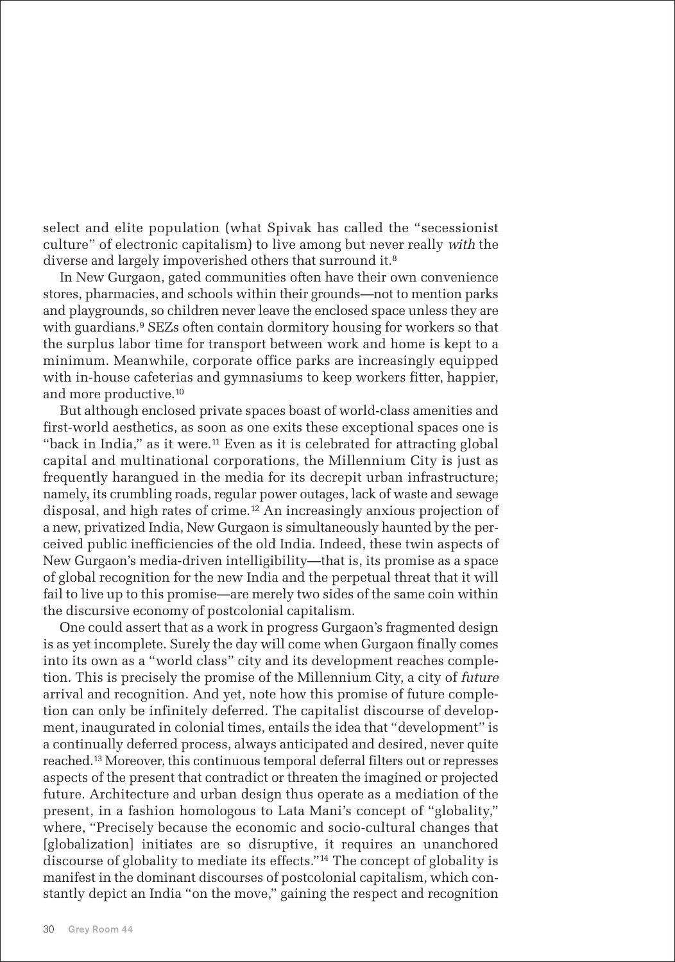select and elite population (what Spivak has called the "secessionist culture" of electronic capitalism) to live among but never really with the diverse and largely impoverished others that surround it.<sup>8</sup>

In New Gurgaon, gated communities often have their own convenience stores, pharmacies, and schools within their grounds—not to mention parks and playgrounds, so children never leave the enclosed space unless they are with guardians.<sup>9</sup> SEZs often contain dormitory housing for workers so that the surplus labor time for transport between work and home is kept to a minimum. Meanwhile, corporate office parks are increasingly equipped with in-house cafeterias and gymnasiums to keep workers fitter, happier, and more productive.<sup>10</sup>

But although enclosed private spaces boast of world-class amenities and first-world aesthetics, as soon as one exits these exceptional spaces one is "back in India," as it were. $11$  Even as it is celebrated for attracting global capital and multinational corporations, the Millennium City is just as frequently harangued in the media for its decrepit urban infrastructure; namely, its crumbling roads, regular power outages, lack of waste and sewage disposal, and high rates of crime.<sup>12</sup> An increasingly anxious projection of a new, privatized India, New Gurgaon is simultaneously haunted by the perceived public inefficiencies of the old India. Indeed, these twin aspects of New Gurgaon's media-driven intelligibility—that is, its promise as a space of global recognition for the new India and the perpetual threat that it will fail to live up to this promise—are merely two sides of the same coin within the discursive economy of postcolonial capitalism.

One could assert that as a work in progress Gurgaon's fragmented design is as yet incomplete. Surely the day will come when Gurgaon finally comes into its own as a "world class" city and its development reaches completion. This is precisely the promise of the Millennium City, a city of future arrival and recognition. And yet, note how this promise of future completion can only be infinitely deferred. The capitalist discourse of development, inaugurated in colonial times, entails the idea that "development" is a continually deferred process, always anticipated and desired, never quite reached.<sup>13</sup> Moreover, this continuous temporal deferral filters out or represses aspects of the present that contradict or threaten the imagined or projected future. Architecture and urban design thus operate as a mediation of the present, in a fashion homologous to Lata Mani's concept of "globality," where, "Precisely because the economic and socio-cultural changes that [globalization] initiates are so disruptive, it requires an unanchored discourse of globality to mediate its effects."<sup>14</sup> The concept of globality is manifest in the dominant discourses of postcolonial capitalism, which constantly depict an India "on the move," gaining the respect and recognition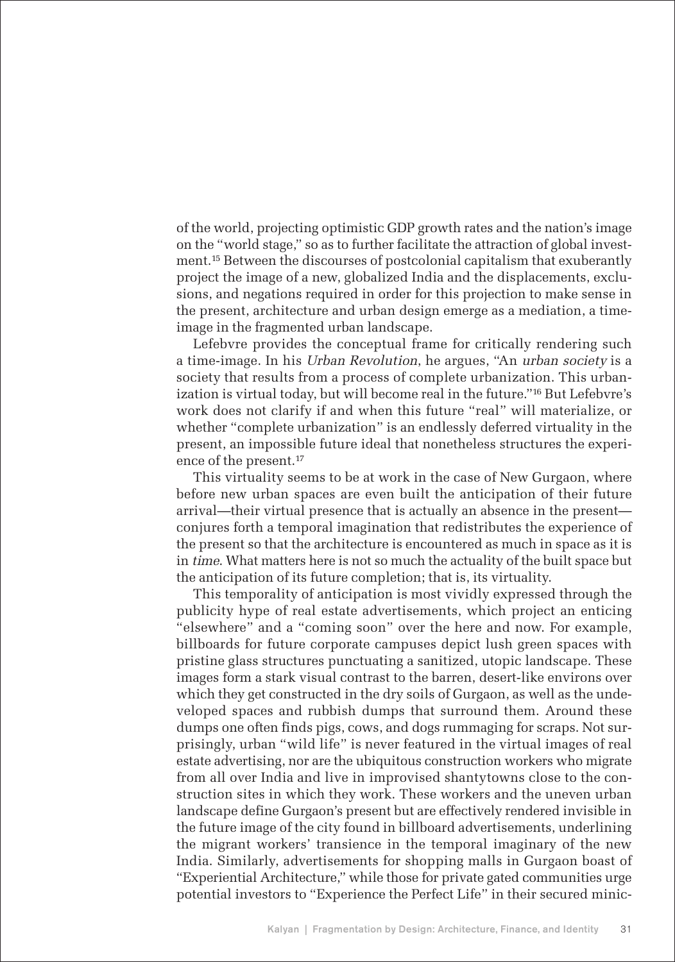of the world, projecting optimistic GDP growth rates and the nation's image on the "world stage," so as to further facilitate the attraction of global investment.<sup>15</sup> Between the discourses of postcolonial capitalism that exuberantly project the image of a new, globalized India and the displacements, exclusions, and negations required in order for this projection to make sense in the present, architecture and urban design emerge as a mediation, a timeimage in the fragmented urban landscape.

Lefebvre provides the conceptual frame for critically rendering such a time-image. In his Urban Revolution, he argues, "An urban society is a society that results from a process of complete urbanization. This urbanization is virtual today, but will become real in the future." <sup>16</sup> But Lefebvre's work does not clarify if and when this future "real" will materialize, or whether "complete urbanization" is an endlessly deferred virtuality in the present, an impossible future ideal that nonetheless structures the experience of the present.<sup>17</sup>

This virtuality seems to be at work in the case of New Gurgaon, where before new urban spaces are even built the anticipation of their future arrival—their virtual presence that is actually an absence in the present conjures forth a temporal imagination that redistributes the experience of the present so that the architecture is encountered as much in space as it is in time. What matters here is not so much the actuality of the built space but the anticipation of its future completion; that is, its virtuality.

This temporality of anticipation is most vividly expressed through the publicity hype of real estate advertisements, which project an enticing "elsewhere" and a "coming soon" over the here and now. For example, billboards for future corporate campuses depict lush green spaces with pristine glass structures punctuating a sanitized, utopic landscape. These images form a stark visual contrast to the barren, desert-like environs over which they get constructed in the dry soils of Gurgaon, as well as the undeveloped spaces and rubbish dumps that surround them. Around these dumps one often finds pigs, cows, and dogs rummaging for scraps. Not surprisingly, urban "wild life" is never featured in the virtual images of real estate advertising, nor are the ubiquitous construction workers who migrate from all over India and live in improvised shantytowns close to the construction sites in which they work. These workers and the uneven urban landscape define Gurgaon's present but are effectively rendered invisible in the future image of the city found in billboard advertisements, underlining the migrant workers' transience in the temporal imaginary of the new India. Similarly, advertisements for shopping malls in Gurgaon boast of "Experiential Architecture," while those for private gated communities urge potential investors to "Experience the Perfect Life" in their secured minic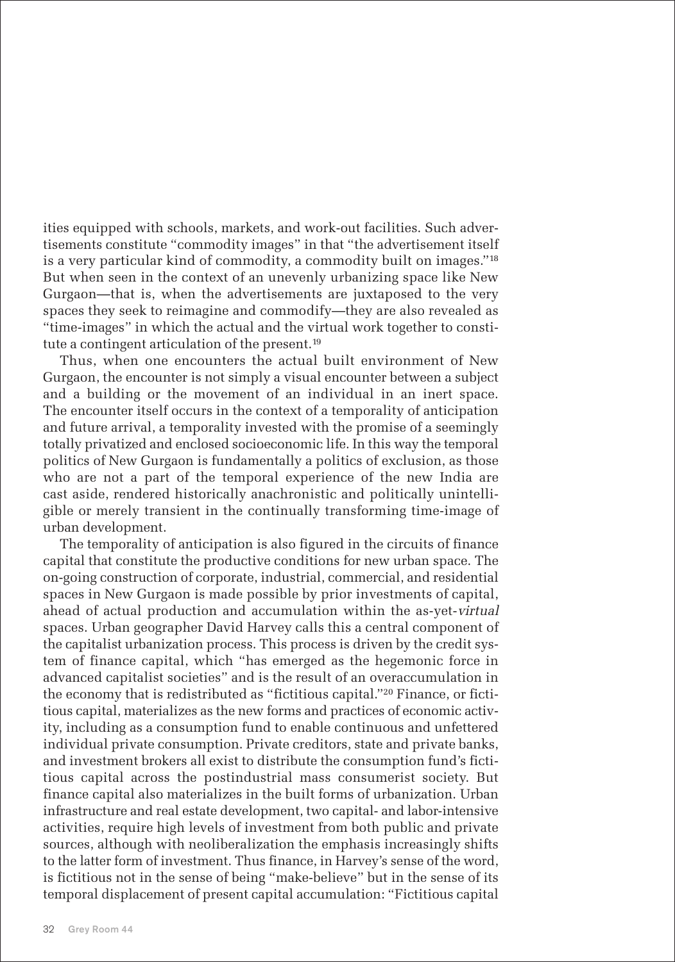ities equipped with schools, markets, and work-out facilities. Such advertisements constitute "commodity images" in that "the advertisement itself is a very particular kind of commodity, a commodity built on images."<sup>18</sup> But when seen in the context of an unevenly urbanizing space like New Gurgaon—that is, when the advertisements are juxtaposed to the very spaces they seek to reimagine and commodify—they are also revealed as "time-images" in which the actual and the virtual work together to constitute a contingent articulation of the present.<sup>19</sup>

Thus, when one encounters the actual built environment of New Gurgaon, the encounter is not simply a visual encounter between a subject and a building or the movement of an individual in an inert space. The encounter itself occurs in the context of a temporality of anticipation and future arrival, a temporality invested with the promise of a seemingly totally privatized and enclosed socioeconomic life. In this way the temporal politics of New Gurgaon is fundamentally a politics of exclusion, as those who are not a part of the temporal experience of the new India are cast aside, rendered historically anachronistic and politically unintelligible or merely transient in the continually transforming time-image of urban development.

The temporality of anticipation is also figured in the circuits of finance capital that constitute the productive conditions for new urban space. The on-going construction of corporate, industrial, commercial, and residential spaces in New Gurgaon is made possible by prior investments of capital, ahead of actual production and accumulation within the as-yet-virtual spaces. Urban geographer David Harvey calls this a central component of the capitalist urbanization process. This process is driven by the credit system of finance capital, which "has emerged as the hegemonic force in advanced capitalist societies" and is the result of an overaccumulation in the economy that is redistributed as "fictitious capital."<sup>20</sup> Finance, or fictitious capital, materializes as the new forms and practices of economic activity, including as a consumption fund to enable continuous and unfettered individual private consumption. Private creditors, state and private banks, and investment brokers all exist to distribute the consumption fund's fictitious capital across the postindustrial mass consumerist society. But finance capital also materializes in the built forms of urbanization. Urban infrastructure and real estate development, two capital- and labor-intensive activities, require high levels of investment from both public and private sources, although with neoliberalization the emphasis increasingly shifts to the latter form of investment. Thus finance, in Harvey's sense of the word, is fictitious not in the sense of being "make-believe" but in the sense of its temporal displacement of present capital accumulation: "Fictitious capital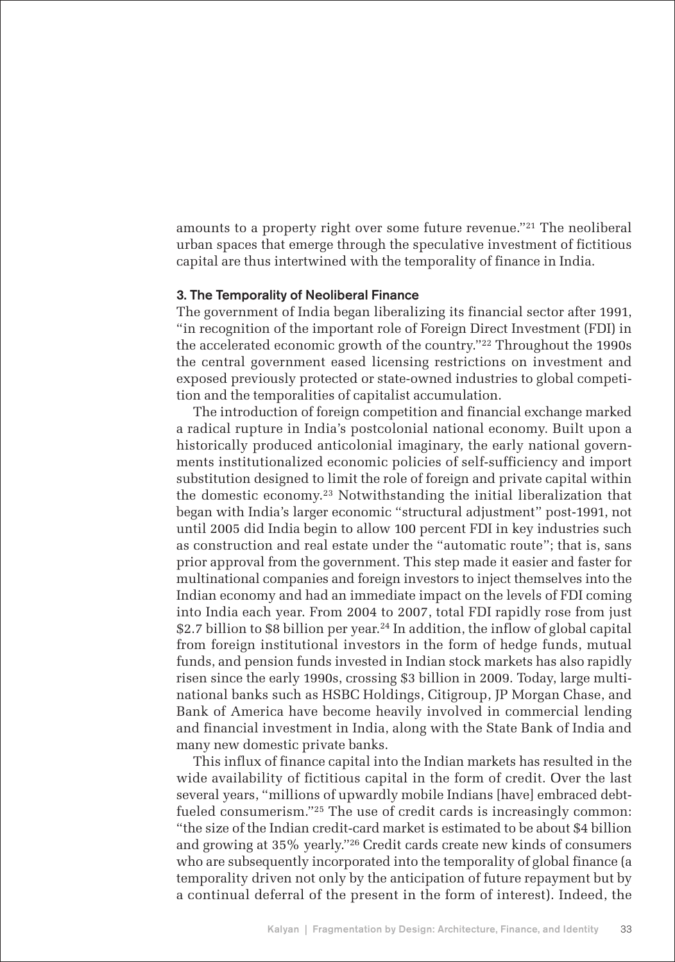amounts to a property right over some future revenue."<sup>21</sup> The neoliberal urban spaces that emerge through the speculative investment of fictitious capital are thus intertwined with the temporality of finance in India.

#### 3. The Temporality of Neoliberal Finance

The government of India began liberalizing its financial sector after 1991, "in recognition of the important role of Foreign Direct Investment (FDI) in the accelerated economic growth of the country."<sup>22</sup> Throughout the 1990s the central government eased licensing restrictions on investment and exposed previously protected or state-owned industries to global competition and the temporalities of capitalist accumulation.

The introduction of foreign competition and financial exchange marked a radical rupture in India's postcolonial national economy. Built upon a historically produced anticolonial imaginary, the early national governments institutionalized economic policies of self-sufficiency and import substitution designed to limit the role of foreign and private capital within the domestic economy.<sup>23</sup> Notwithstanding the initial liberalization that began with India's larger economic "structural adjustment" post-1991, not until 2005 did India begin to allow 100 percent FDI in key industries such as construction and real estate under the "automatic route"; that is, sans prior approval from the government. This step made it easier and faster for multinational companies and foreign investors to inject themselves into the Indian economy and had an immediate impact on the levels of FDI coming into India each year. From 2004 to 2007, total FDI rapidly rose from just \$2.7 billion to \$8 billion per year.<sup>24</sup> In addition, the inflow of global capital from foreign institutional investors in the form of hedge funds, mutual funds, and pension funds invested in Indian stock markets has also rapidly risen since the early 1990s, crossing \$3 billion in 2009. Today, large multinational banks such as HSBC Holdings, Citigroup, JP Morgan Chase, and Bank of America have become heavily involved in commercial lending and financial investment in India, along with the State Bank of India and many new domestic private banks.

This influx of finance capital into the Indian markets has resulted in the wide availability of fictitious capital in the form of credit. Over the last several years, "millions of upwardly mobile Indians [have] embraced debtfueled consumerism."<sup>25</sup> The use of credit cards is increasingly common: "the size of the Indian credit-card market is estimated to be about \$4 billion and growing at 35% yearly."<sup>26</sup> Credit cards create new kinds of consumers who are subsequently incorporated into the temporality of global finance (a temporality driven not only by the anticipation of future repayment but by a continual deferral of the present in the form of interest). Indeed, the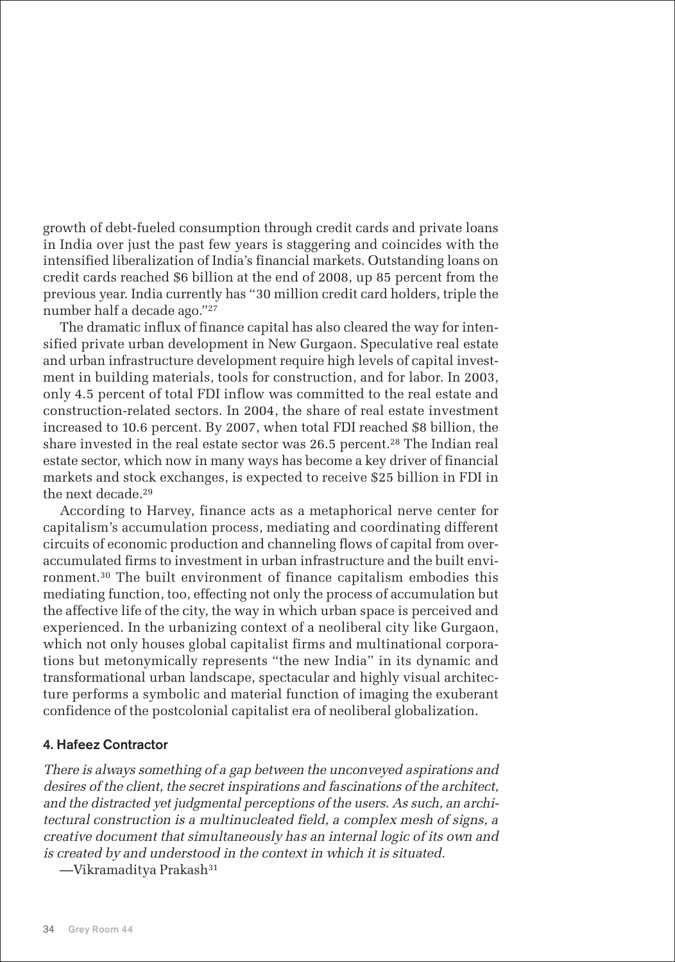growth of debt-fueled consumption through credit cards and private loans in India over just the past few years is staggering and coincides with the intensified liberalization of India's financial markets. Outstanding loans on credit cards reached \$6 billion at the end of 2008, up 85 percent from the previous year. India currently has "30 million credit card holders, triple the number half a decade ago."<sup>27</sup>

The dramatic influx of finance capital has also cleared the way for intensified private urban development in New Gurgaon. Speculative real estate and urban infrastructure development require high levels of capital investment in building materials, tools for construction, and for labor. In 2003, only 4.5 percent of total FDI inflow was committed to the real estate and construction-related sectors. In 2004, the share of real estate investment increased to 10.6 percent. By 2007, when total FDI reached \$8 billion, the share invested in the real estate sector was 26.5 percent.<sup>28</sup> The Indian real estate sector, which now in many ways has become a key driver of financial markets and stock exchanges, is expected to receive \$25 billion in FDI in the next decade.<sup>29</sup>

According to Harvey, finance acts as a metaphorical nerve center for capitalism's accumulation process, mediating and coordinating different circuits of economic production and channeling flows of capital from overaccumulated firms to investment in urban infrastructure and the built environment.<sup>30</sup> The built environment of finance capitalism embodies this mediating function, too, effecting not only the process of accumulation but the affective life of the city, the way in which urban space is perceived and experienced. In the urbanizing context of a neoliberal city like Gurgaon, which not only houses global capitalist firms and multinational corporations but metonymically represents "the new India" in its dynamic and transformational urban landscape, spectacular and highly visual architecture performs a symbolic and material function of imaging the exuberant confidence of the postcolonial capitalist era of neoliberal globalization.

# 4. Hafeez Contractor

There is always something of a gap between the unconveyed aspirations and desires of the client, the secret inspirations and fascinations of the architect, and the distracted yet judgmental perceptions of the users. As such, an architectural construction is a multinucleated field, a complex mesh of signs, a creative document that simultaneously has an internal logic of its own and is created by and understood in the context in which it is situated.

—Vikramaditya Prakash<sup>31</sup>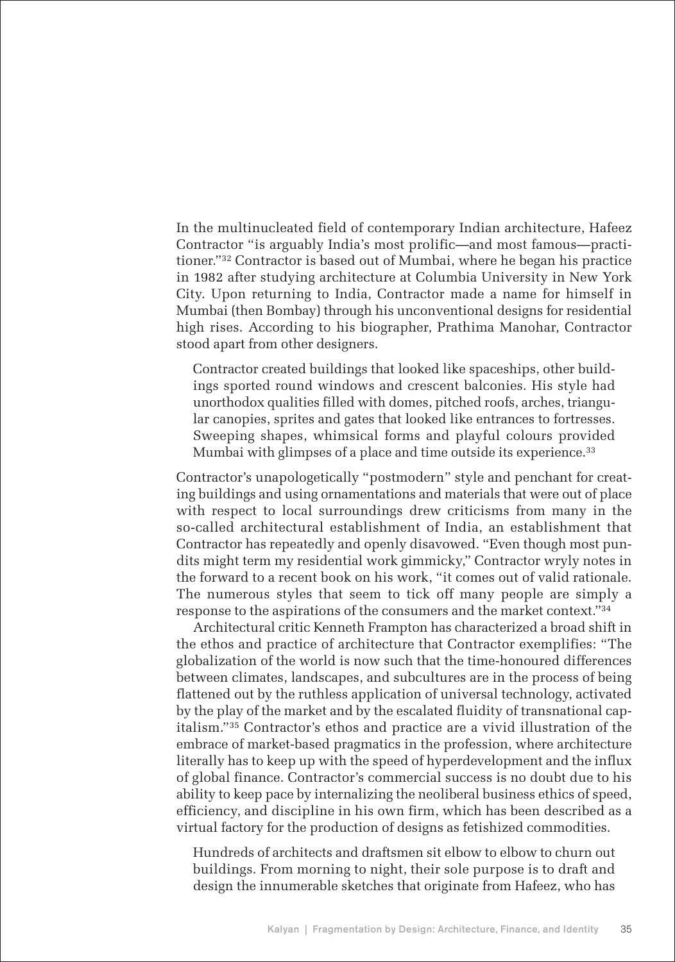In the multinucleated field of contemporary Indian architecture, Hafeez Contractor "is arguably India's most prolific—and most famous—practitioner."<sup>32</sup> Contractor is based out of Mumbai, where he began his practice in 1982 after studying architecture at Columbia University in New York City. Upon returning to India, Contractor made a name for himself in Mumbai (then Bombay) through his unconventional designs for residential high rises. According to his biographer, Prathima Manohar, Contractor stood apart from other designers.

Contractor created buildings that looked like spaceships, other buildings sported round windows and crescent balconies. His style had unorthodox qualities filled with domes, pitched roofs, arches, triangular canopies, sprites and gates that looked like entrances to fortresses. Sweeping shapes, whimsical forms and playful colours provided Mumbai with glimpses of a place and time outside its experience.<sup>33</sup>

Contractor's unapologetically "postmodern" style and penchant for creating buildings and using ornamentations and materials that were out of place with respect to local surroundings drew criticisms from many in the so-called architectural establishment of India, an establishment that Contractor has repeatedly and openly disavowed. "Even though most pundits might term my residential work gimmicky," Contractor wryly notes in the forward to a recent book on his work, "it comes out of valid rationale. The numerous styles that seem to tick off many people are simply a response to the aspirations of the consumers and the market context."<sup>34</sup>

Architectural critic Kenneth Frampton has characterized a broad shift in the ethos and practice of architecture that Contractor exemplifies: "The globalization of the world is now such that the time-honoured differences between climates, landscapes, and subcultures are in the process of being flattened out by the ruthless application of universal technology, activated by the play of the market and by the escalated fluidity of transnational capitalism."<sup>35</sup> Contractor's ethos and practice are a vivid illustration of the embrace of market-based pragmatics in the profession, where architecture literally has to keep up with the speed of hyperdevelopment and the influx of global finance. Contractor's commercial success is no doubt due to his ability to keep pace by internalizing the neoliberal business ethics of speed, efficiency, and discipline in his own firm, which has been described as a virtual factory for the production of designs as fetishized commodities.

Hundreds of architects and draftsmen sit elbow to elbow to churn out buildings. From morning to night, their sole purpose is to draft and design the innumerable sketches that originate from Hafeez, who has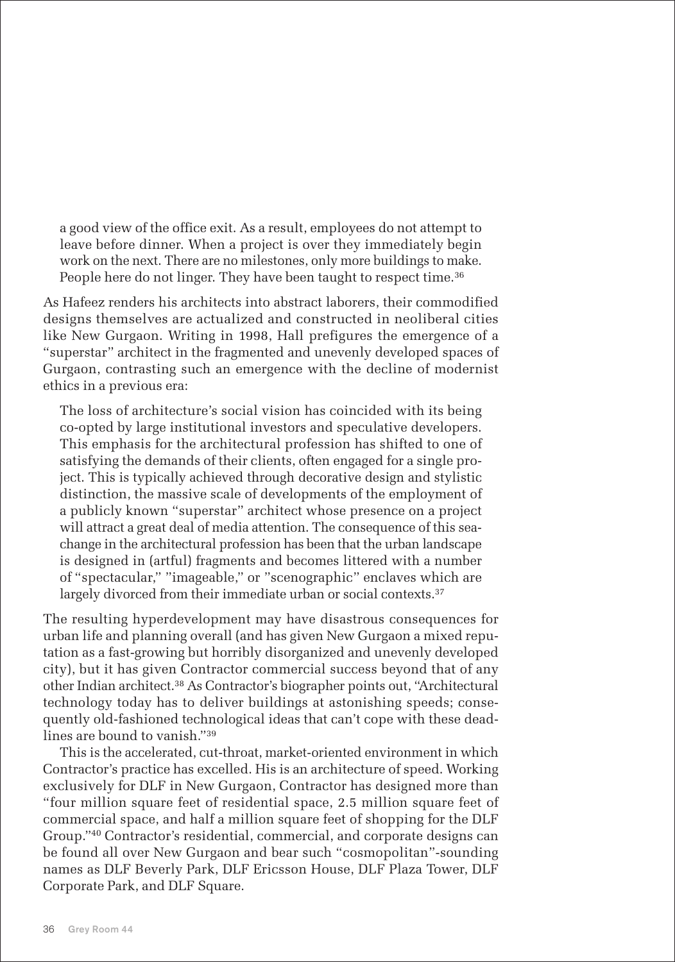a good view of the office exit. As a result, employees do not attempt to leave before dinner. When a project is over they immediately begin work on the next. There are no milestones, only more buildings to make. People here do not linger. They have been taught to respect time.<sup>36</sup>

As Hafeez renders his architects into abstract laborers, their commodified designs themselves are actualized and constructed in neoliberal cities like New Gurgaon. Writing in 1998, Hall prefigures the emergence of a "superstar" architect in the fragmented and unevenly developed spaces of Gurgaon, contrasting such an emergence with the decline of modernist ethics in a previous era:

The loss of architecture's social vision has coincided with its being co-opted by large institutional investors and speculative developers. This emphasis for the architectural profession has shifted to one of satisfying the demands of their clients, often engaged for a single project. This is typically achieved through decorative design and stylistic distinction, the massive scale of developments of the employment of a publicly known "superstar" architect whose presence on a project will attract a great deal of media attention. The consequence of this seachange in the architectural profession has been that the urban landscape is designed in (artful) fragments and becomes littered with a number of "spectacular," "imageable," or "scenographic" enclaves which are largely divorced from their immediate urban or social contexts.<sup>37</sup>

The resulting hyperdevelopment may have disastrous consequences for urban life and planning overall (and has given New Gurgaon a mixed reputation as a fast-growing but horribly disorganized and unevenly developed city), but it has given Contractor commercial success beyond that of any other Indian architect.<sup>38</sup> As Contractor's biographer points out, "Architectural technology today has to deliver buildings at astonishing speeds; consequently old-fashioned technological ideas that can't cope with these deadlines are bound to vanish."<sup>39</sup>

This is the accelerated, cut-throat, market-oriented environment in which Contractor's practice has excelled. His is an architecture of speed. Working exclusively for DLF in New Gurgaon, Contractor has designed more than "four million square feet of residential space, 2.5 million square feet of commercial space, and half a million square feet of shopping for the DLF Group."<sup>40</sup> Contractor's residential, commercial, and corporate designs can be found all over New Gurgaon and bear such "cosmopolitan"-sounding names as DLF Beverly Park, DLF Ericsson House, DLF Plaza Tower, DLF Corporate Park, and DLF Square.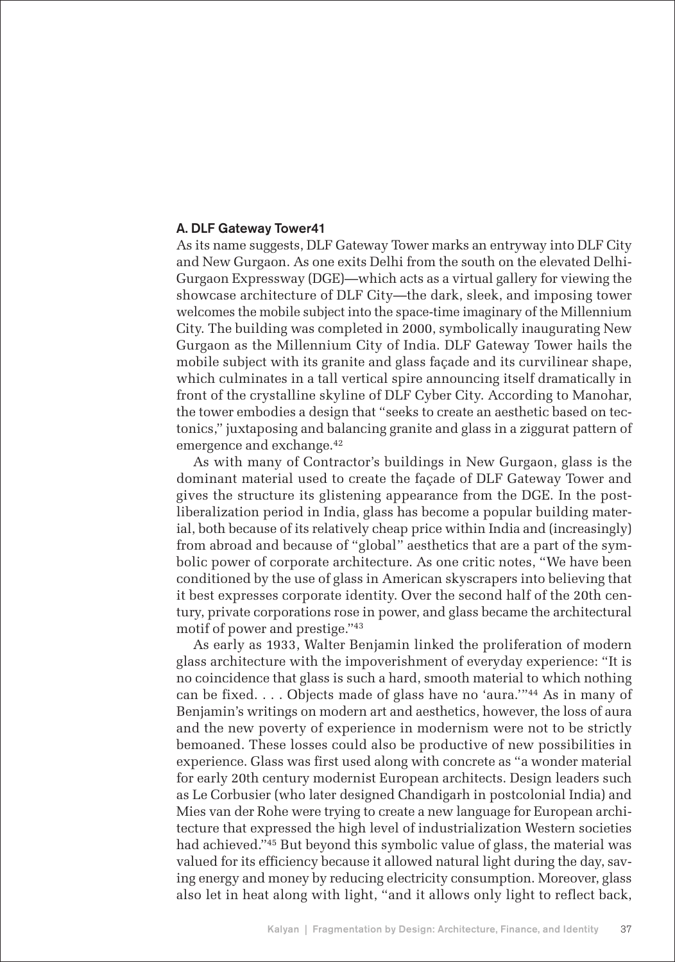#### A. DLF Gateway Tower41

As its name suggests, DLF Gateway Tower marks an entryway into DLF City and New Gurgaon. As one exits Delhi from the south on the elevated Delhi-Gurgaon Expressway (DGE)—which acts as a virtual gallery for viewing the showcase architecture of DLF City—the dark, sleek, and imposing tower welcomes the mobile subject into the space-time imaginary of the Millennium City. The building was completed in 2000, symbolically inaugurating New Gurgaon as the Millennium City of India. DLF Gateway Tower hails the mobile subject with its granite and glass façade and its curvilinear shape, which culminates in a tall vertical spire announcing itself dramatically in front of the crystalline skyline of DLF Cyber City. According to Manohar, the tower embodies a design that "seeks to create an aesthetic based on tectonics," juxtaposing and balancing granite and glass in a ziggurat pattern of emergence and exchange.<sup>42</sup>

As with many of Contractor's buildings in New Gurgaon, glass is the dominant material used to create the façade of DLF Gateway Tower and gives the structure its glistening appearance from the DGE. In the postliberalization period in India, glass has become a popular building material, both because of its relatively cheap price within India and (increasingly) from abroad and because of "global" aesthetics that are a part of the symbolic power of corporate architecture. As one critic notes, "We have been conditioned by the use of glass in American skyscrapers into believing that it best expresses corporate identity. Over the second half of the 20th century, private corporations rose in power, and glass became the architectural motif of power and prestige."<sup>43</sup>

As early as 1933, Walter Benjamin linked the proliferation of modern glass architecture with the impoverishment of everyday experience: "It is no coincidence that glass is such a hard, smooth material to which nothing can be fixed. . . . Objects made of glass have no 'aura.'"<sup>44</sup> As in many of Benjamin's writings on modern art and aesthetics, however, the loss of aura and the new poverty of experience in modernism were not to be strictly bemoaned. These losses could also be productive of new possibilities in experience. Glass was first used along with concrete as "a wonder material for early 20th century modernist European architects. Design leaders such as Le Corbusier (who later designed Chandigarh in postcolonial India) and Mies van der Rohe were trying to create a new language for European architecture that expressed the high level of industrialization Western societies had achieved."<sup>45</sup> But beyond this symbolic value of glass, the material was valued for its efficiency because it allowed natural light during the day, saving energy and money by reducing electricity consumption. Moreover, glass also let in heat along with light, "and it allows only light to reflect back,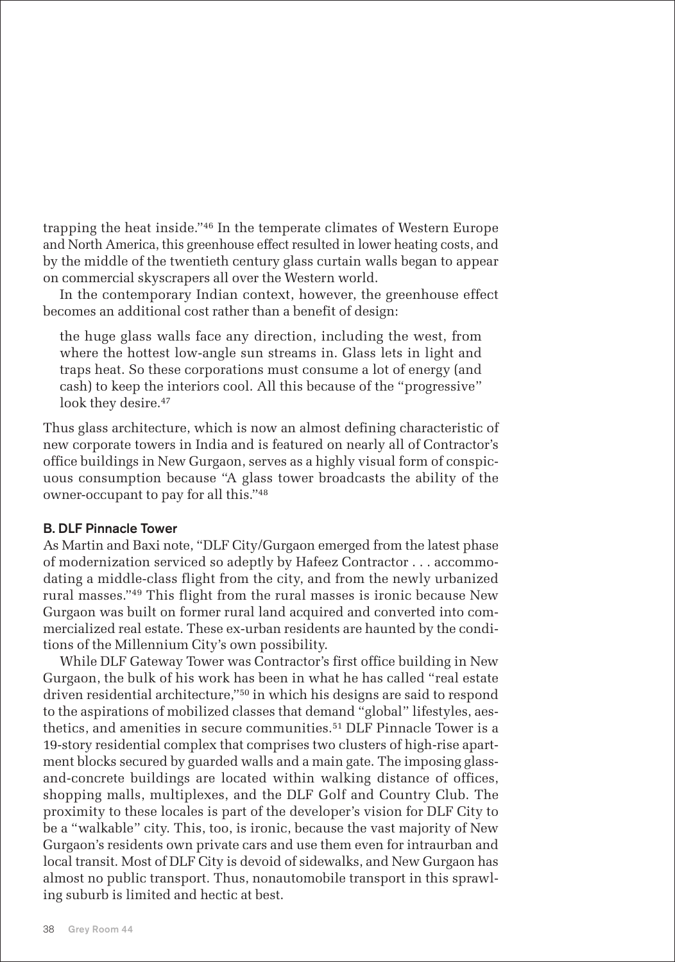trapping the heat inside."<sup>46</sup> In the temperate climates of Western Europe and North America, this greenhouse effect resulted in lower heating costs, and by the middle of the twentieth century glass curtain walls began to appear on commercial skyscrapers all over the Western world.

In the contemporary Indian context, however, the greenhouse effect becomes an additional cost rather than a benefit of design:

the huge glass walls face any direction, including the west, from where the hottest low-angle sun streams in. Glass lets in light and traps heat. So these corporations must consume a lot of energy (and cash) to keep the interiors cool. All this because of the "progressive" look they desire.<sup>47</sup>

Thus glass architecture, which is now an almost defining characteristic of new corporate towers in India and is featured on nearly all of Contractor's office buildings in New Gurgaon, serves as a highly visual form of conspicuous consumption because "A glass tower broadcasts the ability of the owner-occupant to pay for all this."<sup>48</sup>

### B. DLF Pinnacle Tower

As Martin and Baxi note, "DLF City/Gurgaon emerged from the latest phase of modernization serviced so adeptly by Hafeez Contractor . . . accommodating a middle-class flight from the city, and from the newly urbanized rural masses."<sup>49</sup> This flight from the rural masses is ironic because New Gurgaon was built on former rural land acquired and converted into commercialized real estate. These ex-urban residents are haunted by the conditions of the Millennium City's own possibility.

While DLF Gateway Tower was Contractor's first office building in New Gurgaon, the bulk of his work has been in what he has called "real estate driven residential architecture,"<sup>50</sup> in which his designs are said to respond to the aspirations of mobilized classes that demand "global" lifestyles, aesthetics, and amenities in secure communities.<sup>51</sup> DLF Pinnacle Tower is a 19-story residential complex that comprises two clusters of high-rise apartment blocks secured by guarded walls and a main gate. The imposing glassand-concrete buildings are located within walking distance of offices, shopping malls, multiplexes, and the DLF Golf and Country Club. The proximity to these locales is part of the developer's vision for DLF City to be a "walkable" city. This, too, is ironic, because the vast majority of New Gurgaon's residents own private cars and use them even for intraurban and local transit. Most of DLF City is devoid of sidewalks, and New Gurgaon has almost no public transport. Thus, nonautomobile transport in this sprawling suburb is limited and hectic at best.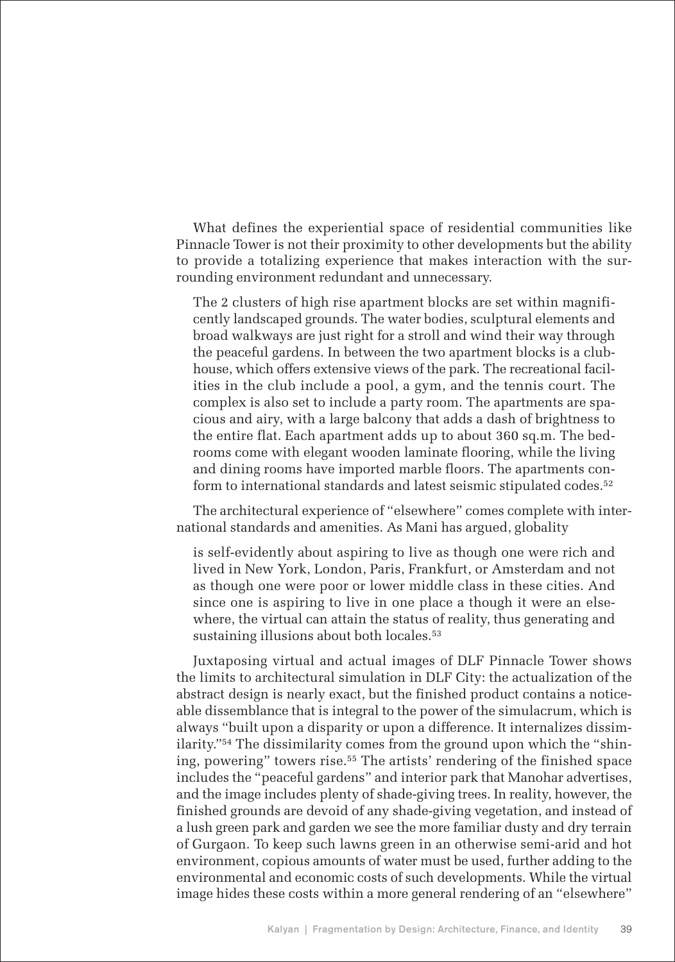What defines the experiential space of residential communities like Pinnacle Tower is not their proximity to other developments but the ability to provide a totalizing experience that makes interaction with the surrounding environment redundant and unnecessary.

The 2 clusters of high rise apartment blocks are set within magnificently landscaped grounds. The water bodies, sculptural elements and broad walkways are just right for a stroll and wind their way through the peaceful gardens. In between the two apartment blocks is a clubhouse, which offers extensive views of the park. The recreational facilities in the club include a pool, a gym, and the tennis court. The complex is also set to include a party room. The apartments are spacious and airy, with a large balcony that adds a dash of brightness to the entire flat. Each apartment adds up to about 360 sq.m. The bedrooms come with elegant wooden laminate flooring, while the living and dining rooms have imported marble floors. The apartments conform to international standards and latest seismic stipulated codes.<sup>52</sup>

The architectural experience of "elsewhere" comes complete with international standards and amenities. As Mani has argued, globality

is self-evidently about aspiring to live as though one were rich and lived in New York, London, Paris, Frankfurt, or Amsterdam and not as though one were poor or lower middle class in these cities. And since one is aspiring to live in one place a though it were an elsewhere, the virtual can attain the status of reality, thus generating and sustaining illusions about both locales.<sup>53</sup>

Juxtaposing virtual and actual images of DLF Pinnacle Tower shows the limits to architectural simulation in DLF City: the actualization of the abstract design is nearly exact, but the finished product contains a noticeable dissemblance that is integral to the power of the simulacrum, which is always "built upon a disparity or upon a difference. It internalizes dissimilarity."<sup>54</sup> The dissimilarity comes from the ground upon which the "shining, powering" towers rise.<sup>55</sup> The artists' rendering of the finished space includes the "peaceful gardens" and interior park that Manohar advertises, and the image includes plenty of shade-giving trees. In reality, however, the finished grounds are devoid of any shade-giving vegetation, and instead of a lush green park and garden we see the more familiar dusty and dry terrain of Gurgaon. To keep such lawns green in an otherwise semi-arid and hot environment, copious amounts of water must be used, further adding to the environmental and economic costs of such developments. While the virtual image hides these costs within a more general rendering of an "elsewhere"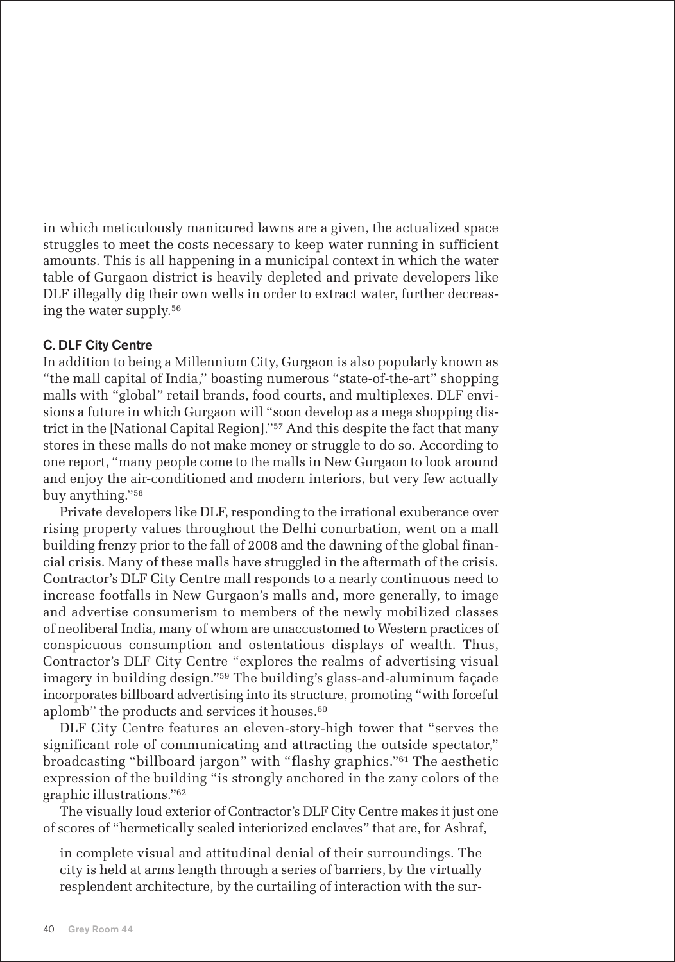in which meticulously manicured lawns are a given, the actualized space struggles to meet the costs necessary to keep water running in sufficient amounts. This is all happening in a municipal context in which the water table of Gurgaon district is heavily depleted and private developers like DLF illegally dig their own wells in order to extract water, further decreasing the water supply.<sup>56</sup>

# C. DLF City Centre

In addition to being a Millennium City, Gurgaon is also popularly known as "the mall capital of India," boasting numerous "state-of-the-art" shopping malls with "global" retail brands, food courts, and multiplexes. DLF envisions a future in which Gurgaon will "soon develop as a mega shopping district in the [National Capital Region]."<sup>57</sup> And this despite the fact that many stores in these malls do not make money or struggle to do so. According to one report, "many people come to the malls in New Gurgaon to look around and enjoy the air-conditioned and modern interiors, but very few actually buy anything."<sup>58</sup>

Private developers like DLF, responding to the irrational exuberance over rising property values throughout the Delhi conurbation, went on a mall building frenzy prior to the fall of 2008 and the dawning of the global financial crisis. Many of these malls have struggled in the aftermath of the crisis. Contractor's DLF City Centre mall responds to a nearly continuous need to increase footfalls in New Gurgaon's malls and, more generally, to image and advertise consumerism to members of the newly mobilized classes of neoliberal India, many of whom are unaccustomed to Western practices of conspicuous consumption and ostentatious displays of wealth. Thus, Contractor's DLF City Centre "explores the realms of advertising visual imagery in building design."<sup>59</sup> The building's glass-and-aluminum façade incorporates billboard advertising into its structure, promoting "with forceful aplomb" the products and services it houses.<sup>60</sup>

DLF City Centre features an eleven-story-high tower that "serves the significant role of communicating and attracting the outside spectator," broadcasting "billboard jargon" with "flashy graphics."<sup>61</sup> The aesthetic expression of the building "is strongly anchored in the zany colors of the graphic illustrations."<sup>62</sup>

The visually loud exterior of Contractor's DLF City Centre makes it just one of scores of "hermetically sealed interiorized enclaves" that are, for Ashraf,

in complete visual and attitudinal denial of their surroundings. The city is held at arms length through a series of barriers, by the virtually resplendent architecture, by the curtailing of interaction with the sur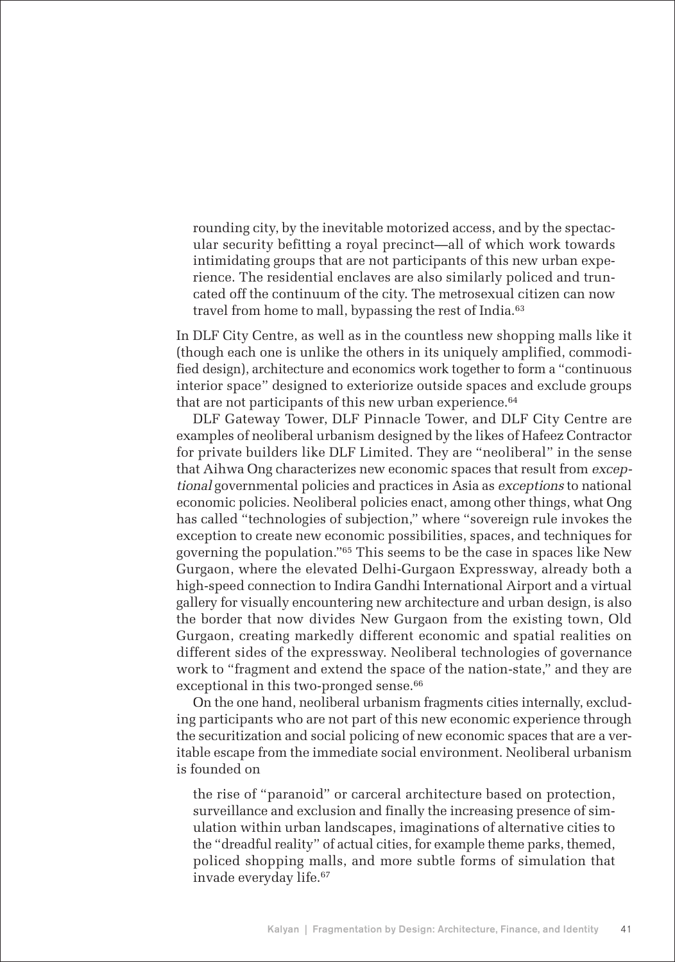rounding city, by the inevitable motorized access, and by the spectacular security befitting a royal precinct—all of which work towards intimidating groups that are not participants of this new urban experience. The residential enclaves are also similarly policed and truncated off the continuum of the city. The metrosexual citizen can now travel from home to mall, bypassing the rest of India.<sup>63</sup>

In DLF City Centre, as well as in the countless new shopping malls like it (though each one is unlike the others in its uniquely amplified, commodified design), architecture and economics work together to form a "continuous interior space" designed to exteriorize outside spaces and exclude groups that are not participants of this new urban experience.<sup>64</sup>

DLF Gateway Tower, DLF Pinnacle Tower, and DLF City Centre are examples of neoliberal urbanism designed by the likes of Hafeez Contractor for private builders like DLF Limited. They are "neoliberal" in the sense that Aihwa Ong characterizes new economic spaces that result from exceptional governmental policies and practices in Asia as exceptions to national economic policies. Neoliberal policies enact, among other things, what Ong has called "technologies of subjection," where "sovereign rule invokes the exception to create new economic possibilities, spaces, and techniques for governing the population."<sup>65</sup> This seems to be the case in spaces like New Gurgaon, where the elevated Delhi-Gurgaon Expressway, already both a high-speed connection to Indira Gandhi International Airport and a virtual gallery for visually encountering new architecture and urban design, is also the border that now divides New Gurgaon from the existing town, Old Gurgaon, creating markedly different economic and spatial realities on different sides of the expressway. Neoliberal technologies of governance work to "fragment and extend the space of the nation-state," and they are exceptional in this two-pronged sense.<sup>66</sup>

On the one hand, neoliberal urbanism fragments cities internally, excluding participants who are not part of this new economic experience through the securitization and social policing of new economic spaces that are a veritable escape from the immediate social environment. Neoliberal urbanism is founded on

the rise of "paranoid" or carceral architecture based on protection, surveillance and exclusion and finally the increasing presence of simulation within urban landscapes, imaginations of alternative cities to the "dreadful reality" of actual cities, for example theme parks, themed, policed shopping malls, and more subtle forms of simulation that invade everyday life.67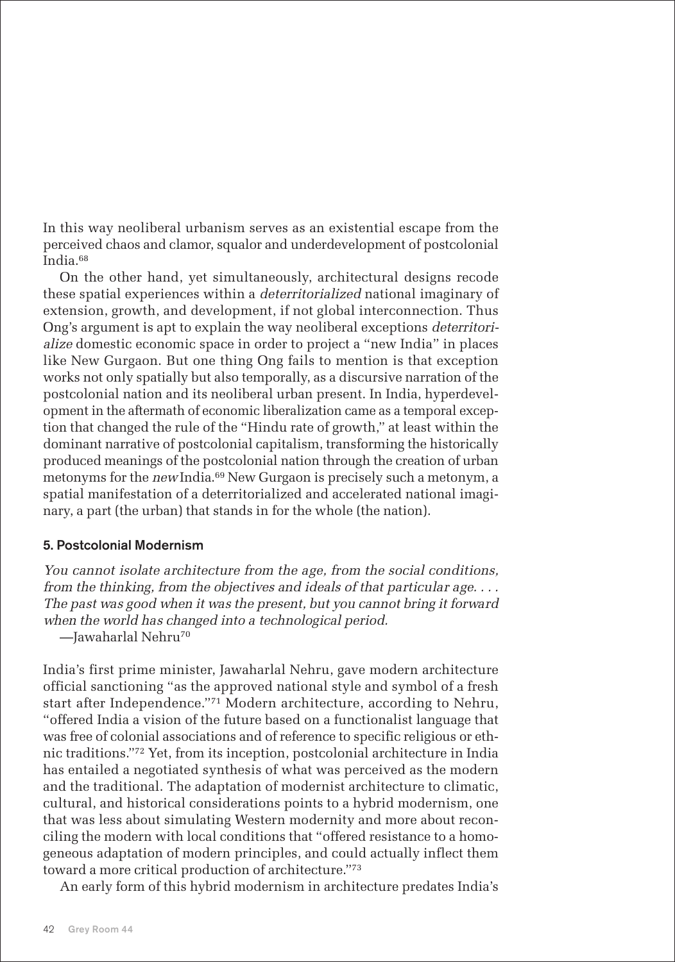In this way neoliberal urbanism serves as an existential escape from the perceived chaos and clamor, squalor and underdevelopment of postcolonial India.<sup>68</sup>

On the other hand, yet simultaneously, architectural designs recode these spatial experiences within a deterritorialized national imaginary of extension, growth, and development, if not global interconnection. Thus Ong's argument is apt to explain the way neoliberal exceptions deterritorialize domestic economic space in order to project a "new India" in places like New Gurgaon. But one thing Ong fails to mention is that exception works not only spatially but also temporally, as a discursive narration of the postcolonial nation and its neoliberal urban present. In India, hyperdevelopment in the aftermath of economic liberalization came as a temporal exception that changed the rule of the "Hindu rate of growth," at least within the dominant narrative of postcolonial capitalism, transforming the historically produced meanings of the postcolonial nation through the creation of urban metonyms for the new India.<sup>69</sup> New Gurgaon is precisely such a metonym, a spatial manifestation of a deterritorialized and accelerated national imaginary, a part (the urban) that stands in for the whole (the nation).

# 5. Postcolonial Modernism

You cannot isolate architecture from the age, from the social conditions, from the thinking, from the objectives and ideals of that particular age. . . . The past was good when it was the present, but you cannot bring it forward when the world has changed into a technological period.

—Jawaharlal Nehru<sup>70</sup>

India's first prime minister, Jawaharlal Nehru, gave modern architecture official sanctioning "as the approved national style and symbol of a fresh start after Independence."<sup>71</sup> Modern architecture, according to Nehru, "offered India a vision of the future based on a functionalist language that was free of colonial associations and of reference to specific religious or ethnic traditions."<sup>72</sup> Yet, from its inception, postcolonial architecture in India has entailed a negotiated synthesis of what was perceived as the modern and the traditional. The adaptation of modernist architecture to climatic, cultural, and historical considerations points to a hybrid modernism, one that was less about simulating Western modernity and more about reconciling the modern with local conditions that "offered resistance to a homogeneous adaptation of modern principles, and could actually inflect them toward a more critical production of architecture."<sup>73</sup>

An early form of this hybrid modernism in architecture predates India's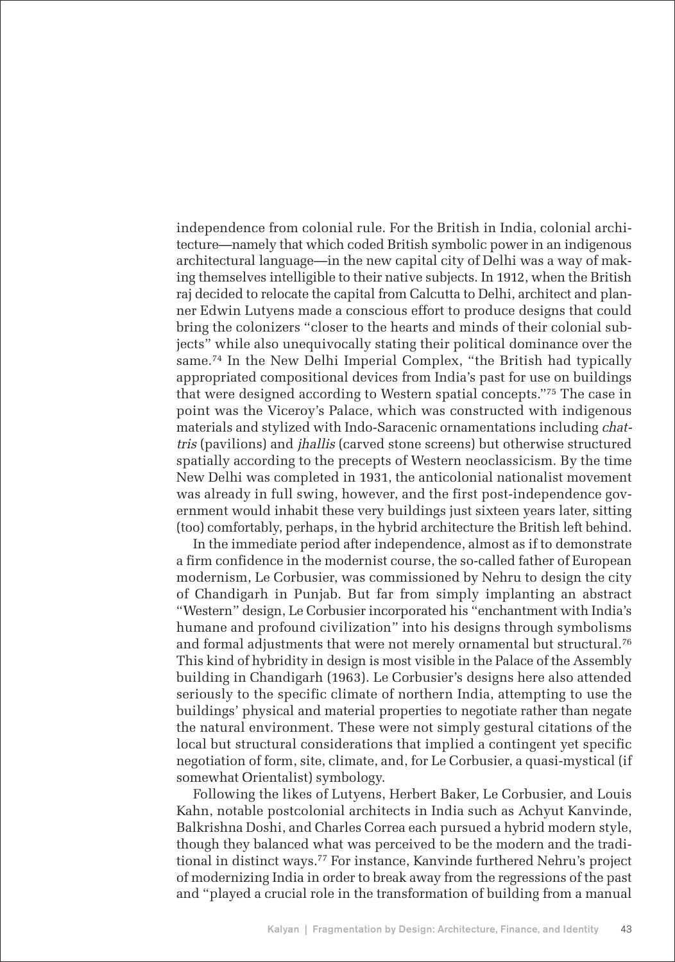independence from colonial rule. For the British in India, colonial architecture—namely that which coded British symbolic power in an indigenous architectural language—in the new capital city of Delhi was a way of making themselves intelligible to their native subjects. In 1912, when the British raj decided to relocate the capital from Calcutta to Delhi, architect and planner Edwin Lutyens made a conscious effort to produce designs that could bring the colonizers "closer to the hearts and minds of their colonial subjects" while also unequivocally stating their political dominance over the same.<sup>74</sup> In the New Delhi Imperial Complex, "the British had typically appropriated compositional devices from India's past for use on buildings that were designed according to Western spatial concepts."<sup>75</sup> The case in point was the Viceroy's Palace, which was constructed with indigenous materials and stylized with Indo-Saracenic ornamentations including chattris (pavilions) and jhallis (carved stone screens) but otherwise structured spatially according to the precepts of Western neoclassicism. By the time New Delhi was completed in 1931, the anticolonial nationalist movement was already in full swing, however, and the first post-independence government would inhabit these very buildings just sixteen years later, sitting (too) comfortably, perhaps, in the hybrid architecture the British left behind.

In the immediate period after independence, almost as if to demonstrate a firm confidence in the modernist course, the so-called father of European modernism, Le Corbusier, was commissioned by Nehru to design the city of Chandigarh in Punjab. But far from simply implanting an abstract "Western" design, Le Corbusier incorporated his "enchantment with India's humane and profound civilization" into his designs through symbolisms and formal adjustments that were not merely ornamental but structural.<sup>76</sup> This kind of hybridity in design is most visible in the Palace of the Assembly building in Chandigarh (1963). Le Corbusier's designs here also attended seriously to the specific climate of northern India, attempting to use the buildings' physical and material properties to negotiate rather than negate the natural environment. These were not simply gestural citations of the local but structural considerations that implied a contingent yet specific negotiation of form, site, climate, and, for Le Corbusier, a quasi-mystical (if somewhat Orientalist) symbology.

Following the likes of Lutyens, Herbert Baker, Le Corbusier, and Louis Kahn, notable postcolonial architects in India such as Achyut Kanvinde, Balkrishna Doshi, and Charles Correa each pursued a hybrid modern style, though they balanced what was perceived to be the modern and the traditional in distinct ways.<sup>77</sup> For instance, Kanvinde furthered Nehru's project of modernizing India in order to break away from the regressions of the past and "played a crucial role in the transformation of building from a manual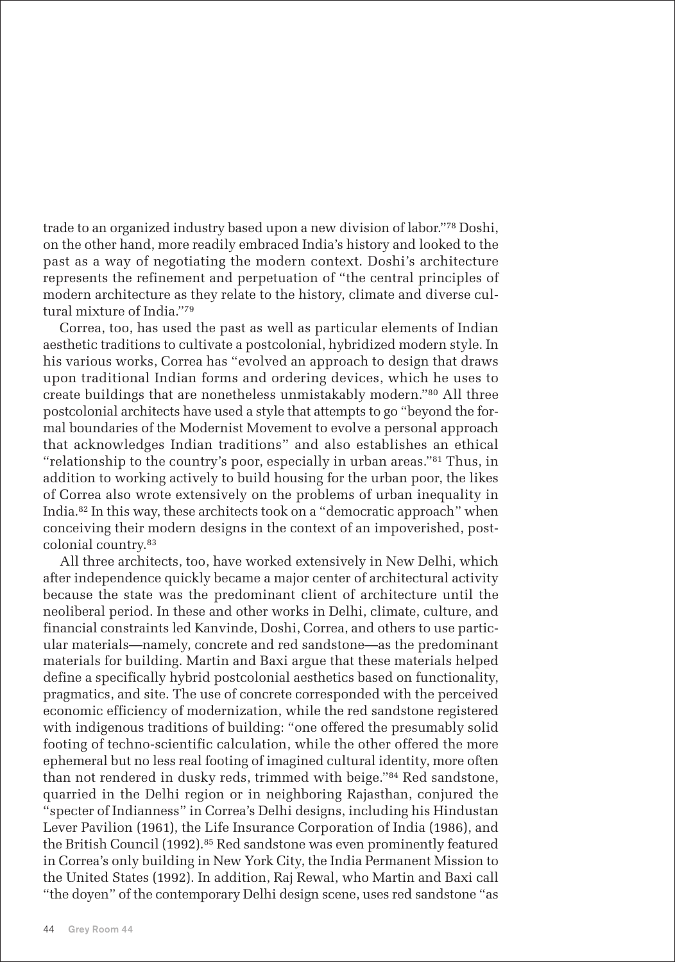trade to an organized industry based upon a new division of labor."<sup>78</sup> Doshi, on the other hand, more readily embraced India's history and looked to the past as a way of negotiating the modern context. Doshi's architecture represents the refinement and perpetuation of "the central principles of modern architecture as they relate to the history, climate and diverse cultural mixture of India."<sup>79</sup>

Correa, too, has used the past as well as particular elements of Indian aesthetic traditions to cultivate a postcolonial, hybridized modern style. In his various works, Correa has "evolved an approach to design that draws upon traditional Indian forms and ordering devices, which he uses to create buildings that are nonetheless unmistakably modern."<sup>80</sup> All three postcolonial architects have used a style that attempts to go "beyond the formal boundaries of the Modernist Movement to evolve a personal approach that acknowledges Indian traditions" and also establishes an ethical "relationship to the country's poor, especially in urban areas."<sup>81</sup> Thus, in addition to working actively to build housing for the urban poor, the likes of Correa also wrote extensively on the problems of urban inequality in India.<sup>82</sup> In this way, these architects took on a "democratic approach" when conceiving their modern designs in the context of an impoverished, postcolonial country.<sup>83</sup>

All three architects, too, have worked extensively in New Delhi, which after independence quickly became a major center of architectural activity because the state was the predominant client of architecture until the neoliberal period. In these and other works in Delhi, climate, culture, and financial constraints led Kanvinde, Doshi, Correa, and others to use particular materials—namely, concrete and red sandstone—as the predominant materials for building. Martin and Baxi argue that these materials helped define a specifically hybrid postcolonial aesthetics based on functionality, pragmatics, and site. The use of concrete corresponded with the perceived economic efficiency of modernization, while the red sandstone registered with indigenous traditions of building: "one offered the presumably solid footing of techno-scientific calculation, while the other offered the more ephemeral but no less real footing of imagined cultural identity, more often than not rendered in dusky reds, trimmed with beige."<sup>84</sup> Red sandstone, quarried in the Delhi region or in neighboring Rajasthan, conjured the "specter of Indianness" in Correa's Delhi designs, including his Hindustan Lever Pavilion (1961), the Life Insurance Corporation of India (1986), and the British Council (1992).<sup>85</sup> Red sandstone was even prominently featured in Correa's only building in New York City, the India Permanent Mission to the United States (1992). In addition, Raj Rewal, who Martin and Baxi call "the doyen" of the contemporary Delhi design scene, uses red sandstone "as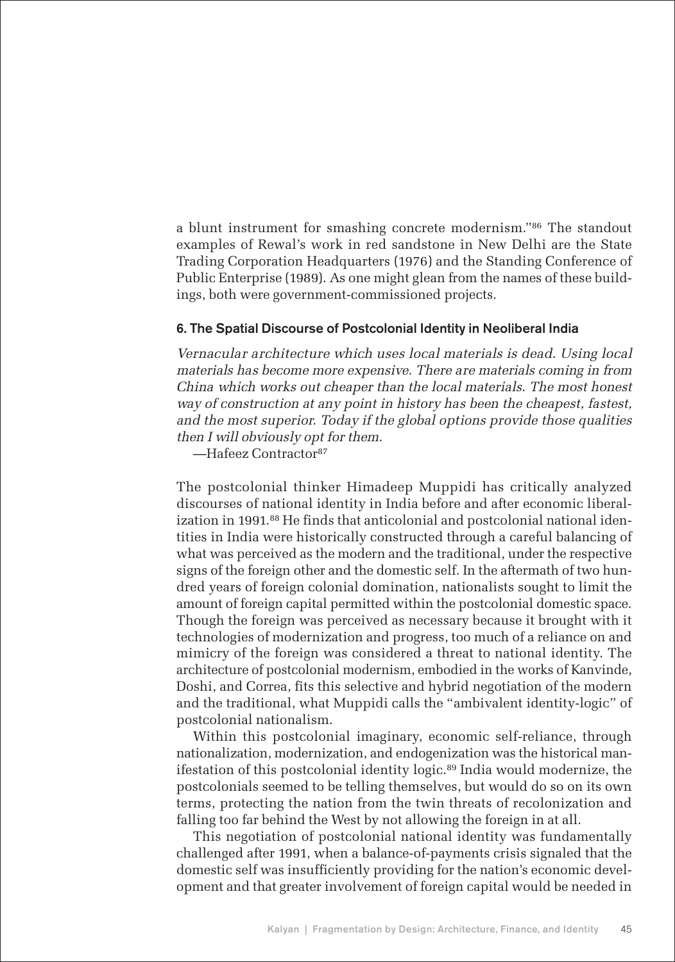a blunt instrument for smashing concrete modernism." <sup>86</sup> The standout examples of Rewal's work in red sandstone in New Delhi are the State Trading Corporation Headquarters (1976) and the Standing Conference of Public Enterprise (1989). As one might glean from the names of these buildings, both were government-commissioned projects.

#### 6. The Spatial Discourse of Postcolonial Identity in Neoliberal India

Vernacular architecture which uses local materials is dead. Using local materials has become more expensive. There are materials coming in from China which works out cheaper than the local materials. The most honest way of construction at any point in history has been the cheapest, fastest, and the most superior. Today if the global options provide those qualities then I will obviously opt for them.

—Hafeez Contractor<sup>87</sup>

The postcolonial thinker Himadeep Muppidi has critically analyzed discourses of national identity in India before and after economic liberalization in 1991.<sup>88</sup> He finds that anticolonial and postcolonial national identities in India were historically constructed through a careful balancing of what was perceived as the modern and the traditional, under the respective signs of the foreign other and the domestic self. In the aftermath of two hundred years of foreign colonial domination, nationalists sought to limit the amount of foreign capital permitted within the postcolonial domestic space. Though the foreign was perceived as necessary because it brought with it technologies of modernization and progress, too much of a reliance on and mimicry of the foreign was considered a threat to national identity. The architecture of postcolonial modernism, embodied in the works of Kanvinde, Doshi, and Correa, fits this selective and hybrid negotiation of the modern and the traditional, what Muppidi calls the "ambivalent identity-logic" of postcolonial nationalism.

Within this postcolonial imaginary, economic self-reliance, through nationalization, modernization, and endogenization was the historical manifestation of this postcolonial identity logic.<sup>89</sup> India would modernize, the postcolonials seemed to be telling themselves, but would do so on its own terms, protecting the nation from the twin threats of recolonization and falling too far behind the West by not allowing the foreign in at all.

This negotiation of postcolonial national identity was fundamentally challenged after 1991, when a balance-of-payments crisis signaled that the domestic self was insufficiently providing for the nation's economic development and that greater involvement of foreign capital would be needed in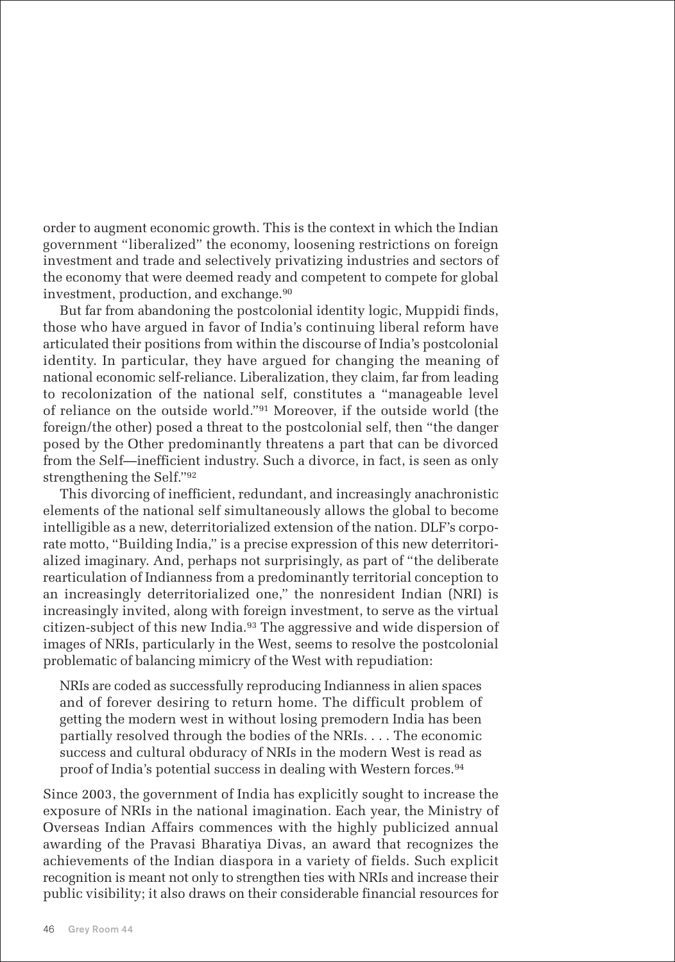order to augment economic growth. This is the context in which the Indian government "liberalized" the economy, loosening restrictions on foreign investment and trade and selectively privatizing industries and sectors of the economy that were deemed ready and competent to compete for global investment, production, and exchange.<sup>90</sup>

But far from abandoning the postcolonial identity logic, Muppidi finds, those who have argued in favor of India's continuing liberal reform have articulated their positions from within the discourse of India's postcolonial identity. In particular, they have argued for changing the meaning of national economic self-reliance. Liberalization, they claim, far from leading to recolonization of the national self, constitutes a "manageable level of reliance on the outside world."<sup>91</sup> Moreover, if the outside world (the foreign/the other) posed a threat to the postcolonial self, then "the danger posed by the Other predominantly threatens a part that can be divorced from the Self—inefficient industry. Such a divorce, in fact, is seen as only strengthening the Self."<sup>92</sup>

This divorcing of inefficient, redundant, and increasingly anachronistic elements of the national self simultaneously allows the global to become intelligible as a new, deterritorialized extension of the nation. DLF's corporate motto, "Building India," is a precise expression of this new deterritorialized imaginary. And, perhaps not surprisingly, as part of "the deliberate rearticulation of Indianness from a predominantly territorial conception to an increasingly deterritorialized one," the nonresident Indian (NRI) is increasingly invited, along with foreign investment, to serve as the virtual citizen-subject of this new India.<sup>93</sup> The aggressive and wide dispersion of images of NRIs, particularly in the West, seems to resolve the postcolonial problematic of balancing mimicry of the West with repudiation:

NRIs are coded as successfully reproducing Indianness in alien spaces and of forever desiring to return home. The difficult problem of getting the modern west in without losing premodern India has been partially resolved through the bodies of the NRIs. . . . The economic success and cultural obduracy of NRIs in the modern West is read as proof of India's potential success in dealing with Western forces.<sup>94</sup>

Since 2003, the government of India has explicitly sought to increase the exposure of NRIs in the national imagination. Each year, the Ministry of Overseas Indian Affairs commences with the highly publicized annual awarding of the Pravasi Bharatiya Divas, an award that recognizes the achievements of the Indian diaspora in a variety of fields. Such explicit recognition is meant not only to strengthen ties with NRIs and increase their public visibility; it also draws on their considerable financial resources for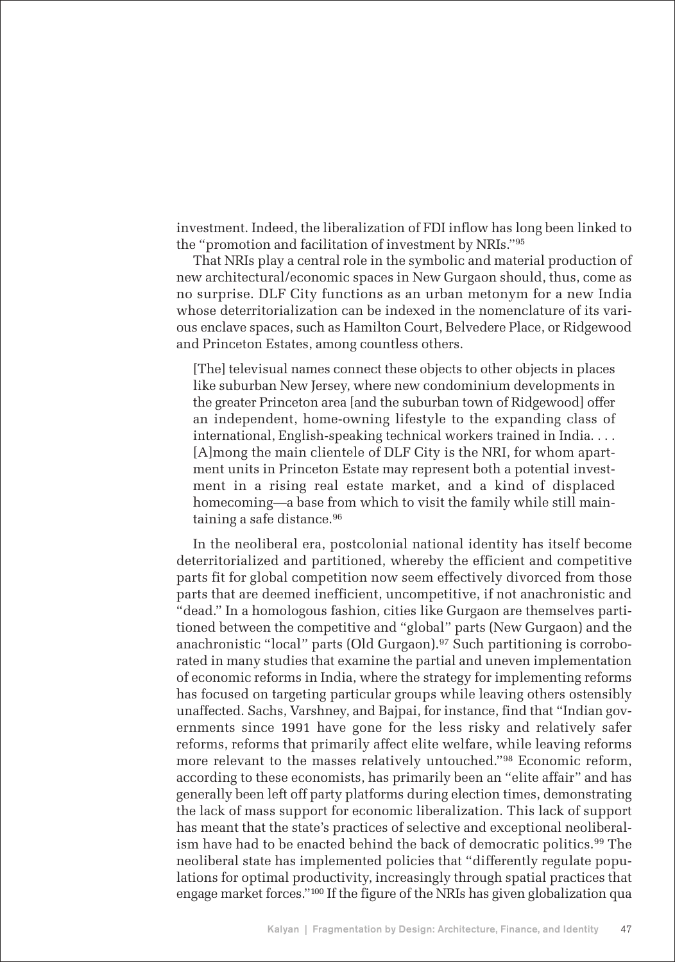investment. Indeed, the liberalization of FDI inflow has long been linked to the "promotion and facilitation of investment by NRIs."<sup>95</sup>

That NRIs play a central role in the symbolic and material production of new architectural/economic spaces in New Gurgaon should, thus, come as no surprise. DLF City functions as an urban metonym for a new India whose deterritorialization can be indexed in the nomenclature of its various enclave spaces, such as Hamilton Court, Belvedere Place, or Ridgewood and Princeton Estates, among countless others.

[The] televisual names connect these objects to other objects in places like suburban New Jersey, where new condominium developments in the greater Princeton area [and the suburban town of Ridgewood] offer an independent, home-owning lifestyle to the expanding class of international, English-speaking technical workers trained in India. . . . [A]mong the main clientele of DLF City is the NRI, for whom apartment units in Princeton Estate may represent both a potential investment in a rising real estate market, and a kind of displaced homecoming—a base from which to visit the family while still maintaining a safe distance.<sup>96</sup>

In the neoliberal era, postcolonial national identity has itself become deterritorialized and partitioned, whereby the efficient and competitive parts fit for global competition now seem effectively divorced from those parts that are deemed inefficient, uncompetitive, if not anachronistic and "dead." In a homologous fashion, cities like Gurgaon are themselves partitioned between the competitive and "global" parts (New Gurgaon) and the anachronistic "local" parts (Old Gurgaon).<sup>97</sup> Such partitioning is corroborated in many studies that examine the partial and uneven implementation of economic reforms in India, where the strategy for implementing reforms has focused on targeting particular groups while leaving others ostensibly unaffected. Sachs, Varshney, and Bajpai, for instance, find that "Indian governments since 1991 have gone for the less risky and relatively safer reforms, reforms that primarily affect elite welfare, while leaving reforms more relevant to the masses relatively untouched."<sup>98</sup> Economic reform, according to these economists, has primarily been an "elite affair" and has generally been left off party platforms during election times, demonstrating the lack of mass support for economic liberalization. This lack of support has meant that the state's practices of selective and exceptional neoliberalism have had to be enacted behind the back of democratic politics.<sup>99</sup> The neoliberal state has implemented policies that "differently regulate populations for optimal productivity, increasingly through spatial practices that engage market forces."<sup>100</sup> If the figure of the NRIs has given globalization qua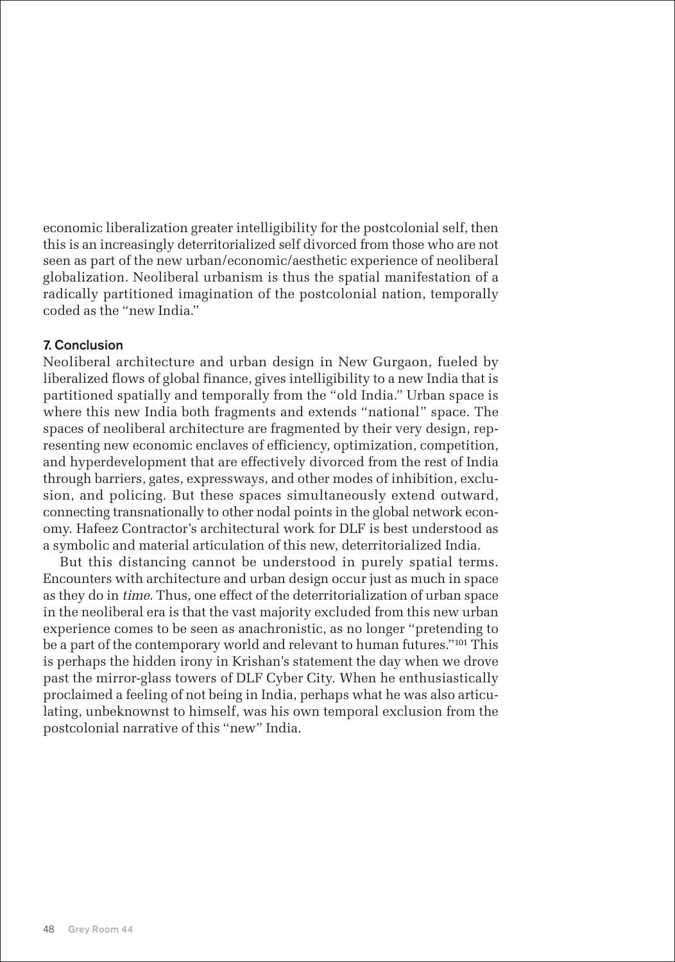economic liberalization greater intelligibility for the postcolonial self, then this is an increasingly deterritorialized self divorced from those who are not seen as part of the new urban/economic/aesthetic experience of neoliberal globalization. Neoliberal urbanism is thus the spatial manifestation of a radically partitioned imagination of the postcolonial nation, temporally coded as the "new India."

# 7. Conclusion

Neoliberal architecture and urban design in New Gurgaon, fueled by liberalized flows of global finance, gives intelligibility to a new India that is partitioned spatially and temporally from the "old India." Urban space is where this new India both fragments and extends "national" space. The spaces of neoliberal architecture are fragmented by their very design, representing new economic enclaves of efficiency, optimization, competition, and hyperdevelopment that are effectively divorced from the rest of India through barriers, gates, expressways, and other modes of inhibition, exclusion, and policing. But these spaces simultaneously extend outward, connecting transnationally to other nodal points in the global network economy. Hafeez Contractor's architectural work for DLF is best understood as a symbolic and material articulation of this new, deterritorialized India.

But this distancing cannot be understood in purely spatial terms. Encounters with architecture and urban design occur just as much in space as they do in time. Thus, one effect of the deterritorialization of urban space in the neoliberal era is that the vast majority excluded from this new urban experience comes to be seen as anachronistic, as no longer "pretending to be a part of the contemporary world and relevant to human futures."<sup>101</sup> This is perhaps the hidden irony in Krishan's statement the day when we drove past the mirror-glass towers of DLF Cyber City. When he enthusiastically proclaimed a feeling of not being in India, perhaps what he was also articulating, unbeknownst to himself, was his own temporal exclusion from the postcolonial narrative of this "new" India.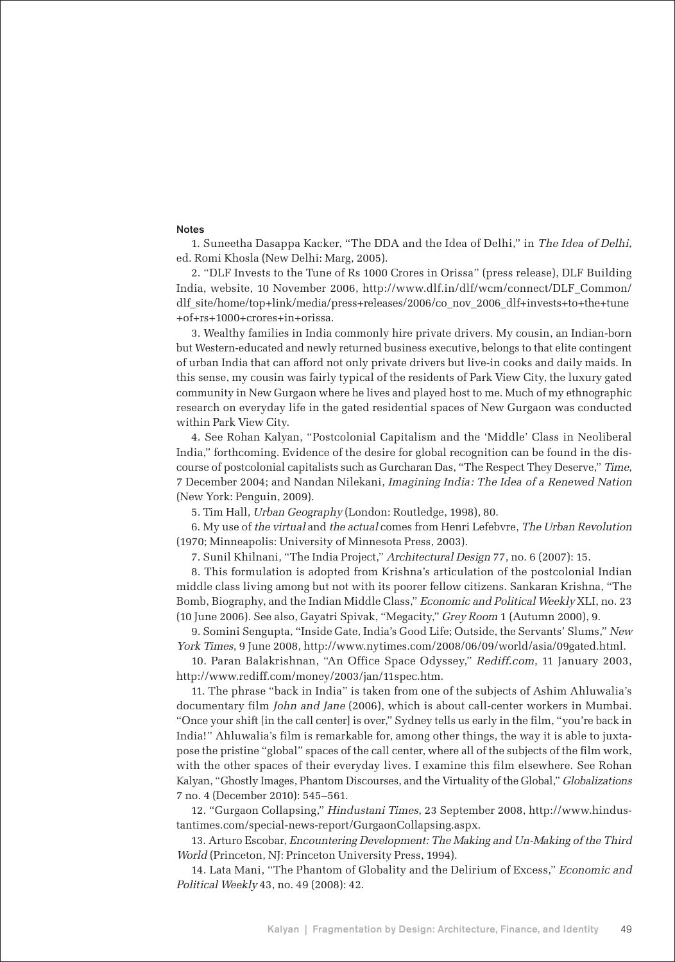#### Notes

1. Suneetha Dasappa Kacker, "The DDA and the Idea of Delhi," in The Idea of Delhi, ed. Romi Khosla (New Delhi: Marg, 2005).

2. "DLF Invests to the Tune of Rs 1000 Crores in Orissa" (press release), DLF Building India, website, 10 November 2006, http://www.dlf.in/dlf/wcm/connect/DLF\_Common/ dlf\_site/home/top+link/media/press+releases/2006/co\_nov\_2006\_dlf+invests+to+the+tune +of+rs+1000+crores+in+orissa.

3. Wealthy families in India commonly hire private drivers. My cousin, an Indian-born but Western-educated and newly returned business executive, belongs to that elite contingent of urban India that can afford not only private drivers but live-in cooks and daily maids. In this sense, my cousin was fairly typical of the residents of Park View City, the luxury gated community in New Gurgaon where he lives and played host to me. Much of my ethnographic research on everyday life in the gated residential spaces of New Gurgaon was conducted within Park View City.

4. See Rohan Kalyan, "Postcolonial Capitalism and the 'Middle' Class in Neoliberal India," forthcoming. Evidence of the desire for global recognition can be found in the discourse of postcolonial capitalists such as Gurcharan Das, "The Respect They Deserve," Time, 7 December 2004; and Nandan Nilekani, Imagining India: The Idea of a Renewed Nation (New York: Penguin, 2009).

5. Tim Hall, Urban Geography (London: Routledge, 1998), 80.

6. My use of the virtual and the actual comes from Henri Lefebvre, The Urban Revolution (1970; Minneapolis: University of Minnesota Press, 2003).

7. Sunil Khilnani, "The India Project," Architectural Design 77, no. 6 (2007): 15.

8. This formulation is adopted from Krishna's articulation of the postcolonial Indian middle class living among but not with its poorer fellow citizens. Sankaran Krishna, "The Bomb, Biography, and the Indian Middle Class," Economic and Political Weekly XLI, no. 23 (10 June 2006). See also, Gayatri Spivak, "Megacity," Grey Room 1 (Autumn 2000), 9.

9. Somini Sengupta, "Inside Gate, India's Good Life; Outside, the Servants' Slums," New York Times, 9 June 2008, http://www.nytimes.com/2008/06/09/world/asia/09gated.html.

10. Paran Balakrishnan, "An Office Space Odyssey," Rediff.com, 11 January 2003, http://www.rediff.com/money/2003/jan/11spec.htm.

11. The phrase "back in India" is taken from one of the subjects of Ashim Ahluwalia's documentary film John and Jane (2006), which is about call-center workers in Mumbai. "Once your shift [in the call center] is over," Sydney tells us early in the film, "you're back in India!" Ahluwalia's film is remarkable for, among other things, the way it is able to juxtapose the pristine "global" spaces of the call center, where all of the subjects of the film work, with the other spaces of their everyday lives. I examine this film elsewhere. See Rohan Kalyan, "Ghostly Images, Phantom Discourses, and the Virtuality of the Global," Globalizations 7 no. 4 (December 2010): 545–561.

12. "Gurgaon Collapsing," Hindustani Times, 23 September 2008, http://www.hindustantimes.com/special-news-report/GurgaonCollapsing.aspx.

13. Arturo Escobar, Encountering Development: The Making and Un-Making of the Third World (Princeton, NJ: Princeton University Press, 1994).

14. Lata Mani, "The Phantom of Globality and the Delirium of Excess," Economic and Political Weekly 43, no. 49 (2008): 42.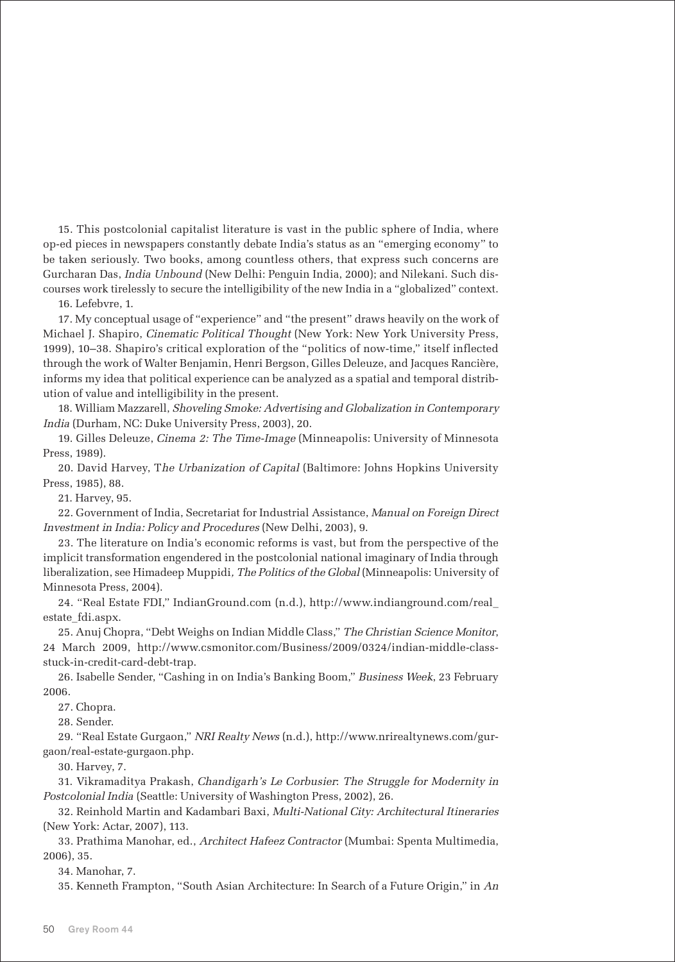15. This postcolonial capitalist literature is vast in the public sphere of India, where op-ed pieces in newspapers constantly debate India's status as an "emerging economy" to be taken seriously. Two books, among countless others, that express such concerns are Gurcharan Das, India Unbound (New Delhi: Penguin India, 2000); and Nilekani. Such discourses work tirelessly to secure the intelligibility of the new India in a "globalized" context.

#### 16. Lefebvre, 1.

17. My conceptual usage of "experience" and "the present" draws heavily on the work of Michael J. Shapiro, Cinematic Political Thought (New York: New York University Press, 1999), 10–38. Shapiro's critical exploration of the "politics of now-time," itself inflected through the work of Walter Benjamin, Henri Bergson, Gilles Deleuze, and Jacques Rancière, informs my idea that political experience can be analyzed as a spatial and temporal distribution of value and intelligibility in the present.

18. William Mazzarell, Shoveling Smoke: Advertising and Globalization in Contemporary India (Durham, NC: Duke University Press, 2003), 20.

19. Gilles Deleuze, Cinema 2: The Time-Image (Minneapolis: University of Minnesota Press, 1989).

20. David Harvey, The Urbanization of Capital (Baltimore: Johns Hopkins University Press, 1985), 88.

21. Harvey, 95.

22. Government of India, Secretariat for Industrial Assistance, Manual on Foreign Direct Investment in India: Policy and Procedures (New Delhi, 2003), 9.

23. The literature on India's economic reforms is vast, but from the perspective of the implicit transformation engendered in the postcolonial national imaginary of India through liberalization, see Himadeep Muppidi, The Politics of the Global (Minneapolis: University of Minnesota Press, 2004).

24. "Real Estate FDI," IndianGround.com (n.d.), http://www.indianground.com/real\_ estate\_fdi.aspx.

25. Anuj Chopra, "Debt Weighs on Indian Middle Class," The Christian Science Monitor, 24 March 2009, http://www.csmonitor.com/Business/2009/0324/indian-middle-classstuck-in-credit-card-debt-trap.

26. Isabelle Sender, "Cashing in on India's Banking Boom," Business Week, 23 February 2006.

27. Chopra.

28. Sender.

29. "Real Estate Gurgaon," NRI Realty News (n.d.), http://www.nrirealtynews.com/gurgaon/real-estate-gurgaon.php.

30. Harvey, 7.

31. Vikramaditya Prakash, Chandigarh's Le Corbusier: The Struggle for Modernity in Postcolonial India (Seattle: University of Washington Press, 2002), 26.

32. Reinhold Martin and Kadambari Baxi, Multi-National City: Architectural Itineraries (New York: Actar, 2007), 113.

33. Prathima Manohar, ed., Architect Hafeez Contractor (Mumbai: Spenta Multimedia, 2006), 35.

34. Manohar, 7.

35. Kenneth Frampton, "South Asian Architecture: In Search of a Future Origin," in An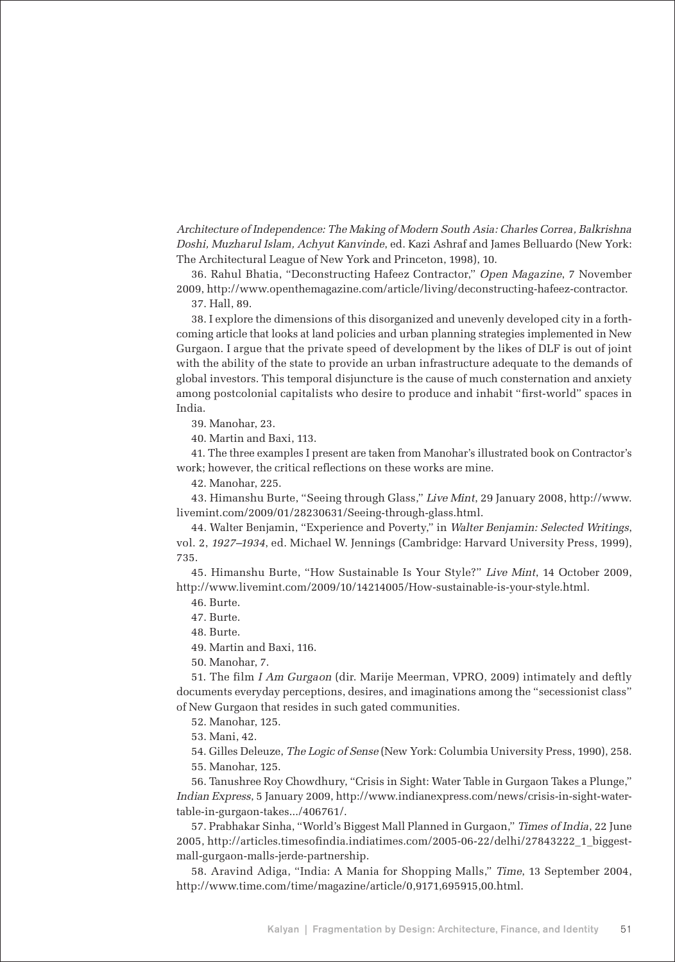Architecture of Independence: The Making of Modern South Asia: Charles Correa, Balkrishna Doshi, Muzharul Islam, Achyut Kanvinde, ed. Kazi Ashraf and James Belluardo (New York: The Architectural League of New York and Princeton, 1998), 10.

36. Rahul Bhatia, "Deconstructing Hafeez Contractor," Open Magazine, 7 November 2009, http://www.openthemagazine.com/article/living/deconstructing-hafeez-contractor.

37. Hall, 89.

38. I explore the dimensions of this disorganized and unevenly developed city in a forthcoming article that looks at land policies and urban planning strategies implemented in New Gurgaon. I argue that the private speed of development by the likes of DLF is out of joint with the ability of the state to provide an urban infrastructure adequate to the demands of global investors. This temporal disjuncture is the cause of much consternation and anxiety among postcolonial capitalists who desire to produce and inhabit "first-world" spaces in India.

39. Manohar, 23.

40. Martin and Baxi, 113.

41. The three examples I present are taken from Manohar's illustrated book on Contractor's work; however, the critical reflections on these works are mine.

42. Manohar, 225.

43. Himanshu Burte, "Seeing through Glass," Live Mint, 29 January 2008, http://www. livemint.com/2009/01/28230631/Seeing-through-glass.html.

44. Walter Benjamin, "Experience and Poverty," in Walter Benjamin: Selected Writings, vol. 2, 1927–1934, ed. Michael W. Jennings (Cambridge: Harvard University Press, 1999), 735.

45. Himanshu Burte, "How Sustainable Is Your Style?" Live Mint, 14 October 2009, http://www.livemint.com/2009/10/14214005/How-sustainable-is-your-style.html.

46. Burte.

47. Burte.

48. Burte.

49. Martin and Baxi, 116.

50. Manohar, 7.

51. The film I Am Gurgaon (dir. Marije Meerman, VPRO, 2009) intimately and deftly documents everyday perceptions, desires, and imaginations among the "secessionist class" of New Gurgaon that resides in such gated communities.

52. Manohar, 125.

53. Mani, 42.

54. Gilles Deleuze, The Logic of Sense (New York: Columbia University Press, 1990), 258.

55. Manohar, 125.

56. Tanushree Roy Chowdhury, "Crisis in Sight: Water Table in Gurgaon Takes a Plunge," Indian Express, 5 January 2009, http://www.indianexpress.com/news/crisis-in-sight-watertable-in-gurgaon-takes.../406761/.

57. Prabhakar Sinha, "World's Biggest Mall Planned in Gurgaon," Times of India, 22 June 2005, http://articles.timesofindia.indiatimes.com/2005-06-22/delhi/27843222\_1\_biggestmall-gurgaon-malls-jerde-partnership.

58. Aravind Adiga, "India: A Mania for Shopping Malls," Time, 13 September 2004, http://www.time.com/time/magazine/article/0,9171,695915,00.html.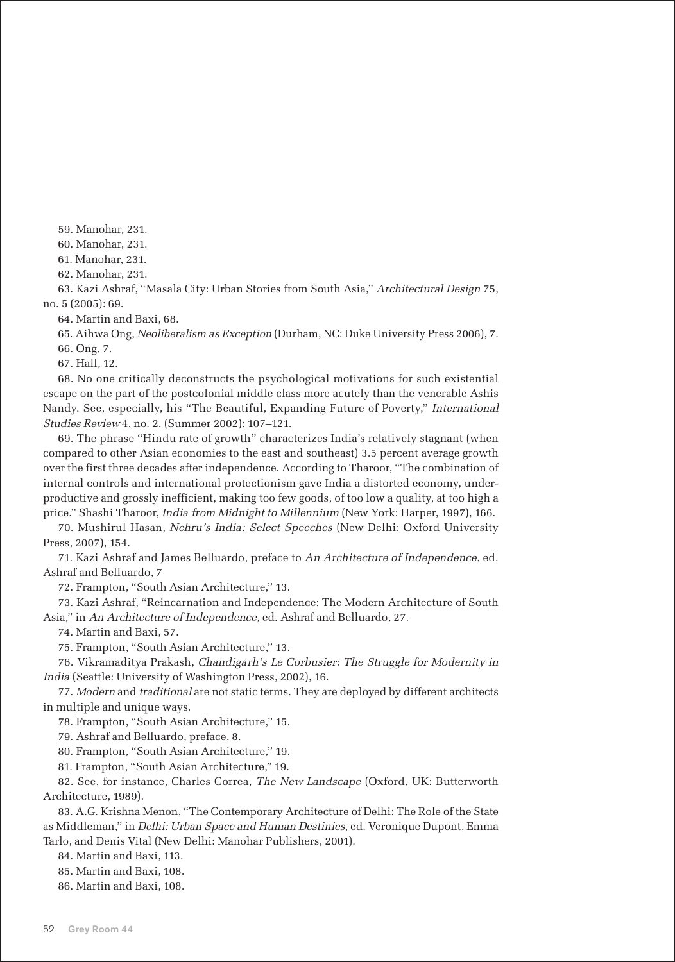59. Manohar, 231.

60. Manohar, 231.

61. Manohar, 231.

62. Manohar, 231.

63. Kazi Ashraf, "Masala City: Urban Stories from South Asia," Architectural Design 75, no. 5 (2005): 69.

64. Martin and Baxi, 68.

65. Aihwa Ong, Neoliberalism as Exception (Durham, NC: Duke University Press 2006), 7.

66. Ong, 7.

67. Hall, 12.

68. No one critically deconstructs the psychological motivations for such existential escape on the part of the postcolonial middle class more acutely than the venerable Ashis Nandy. See, especially, his "The Beautiful, Expanding Future of Poverty," International Studies Review 4, no. 2. (Summer 2002): 107–121.

69. The phrase "Hindu rate of growth" characterizes India's relatively stagnant (when compared to other Asian economies to the east and southeast) 3.5 percent average growth over the first three decades after independence. According to Tharoor, "The combination of internal controls and international protectionism gave India a distorted economy, underproductive and grossly inefficient, making too few goods, of too low a quality, at too high a price." Shashi Tharoor, India from Midnight to Millennium (New York: Harper, 1997), 166.

70. Mushirul Hasan, Nehru's India: Select Speeches (New Delhi: Oxford University Press, 2007), 154.

71. Kazi Ashraf and James Belluardo, preface to An Architecture of Independence, ed. Ashraf and Belluardo, 7

72. Frampton, "South Asian Architecture," 13.

73. Kazi Ashraf, "Reincarnation and Independence: The Modern Architecture of South Asia," in An Architecture of Independence, ed. Ashraf and Belluardo, 27.

74. Martin and Baxi, 57.

75. Frampton, "South Asian Architecture," 13.

76. Vikramaditya Prakash, Chandigarh's Le Corbusier: The Struggle for Modernity in India (Seattle: University of Washington Press, 2002), 16.

77. Modern and traditional are not static terms. They are deployed by different architects in multiple and unique ways.

78. Frampton, "South Asian Architecture," 15.

79. Ashraf and Belluardo, preface, 8.

80. Frampton, "South Asian Architecture," 19.

81. Frampton, "South Asian Architecture," 19.

82. See, for instance, Charles Correa, The New Landscape (Oxford, UK: Butterworth Architecture, 1989).

83. A.G. Krishna Menon, "The Contemporary Architecture of Delhi: The Role of the State as Middleman," in Delhi: Urban Space and Human Destinies, ed. Veronique Dupont, Emma Tarlo, and Denis Vital (New Delhi: Manohar Publishers, 2001).

84. Martin and Baxi, 113.

85. Martin and Baxi, 108.

86. Martin and Baxi, 108.